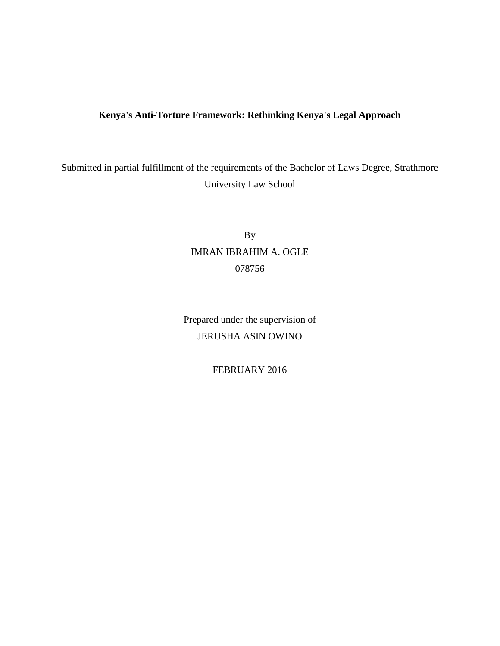### **Kenya's Anti-Torture Framework: Rethinking Kenya's Legal Approach**

Submitted in partial fulfillment of the requirements of the Bachelor of Laws Degree, Strathmore University Law School

> By IMRAN IBRAHIM A. OGLE 078756

Prepared under the supervision of JERUSHA ASIN OWINO

FEBRUARY 2016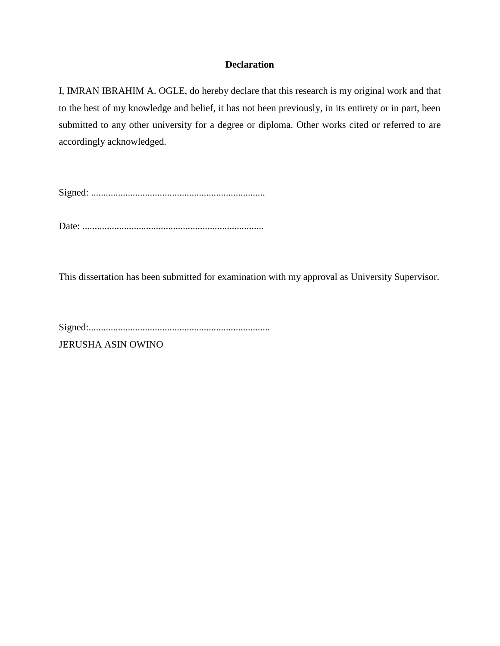#### **Declaration**

I, IMRAN IBRAHIM A. OGLE, do hereby declare that this research is my original work and that to the best of my knowledge and belief, it has not been previously, in its entirety or in part, been submitted to any other university for a degree or diploma. Other works cited or referred to are accordingly acknowledged.

Signed: .......................................................................

Date: ..........................................................................

This dissertation has been submitted for examination with my approval as University Supervisor.

Signed:..........................................................................

JERUSHA ASIN OWINO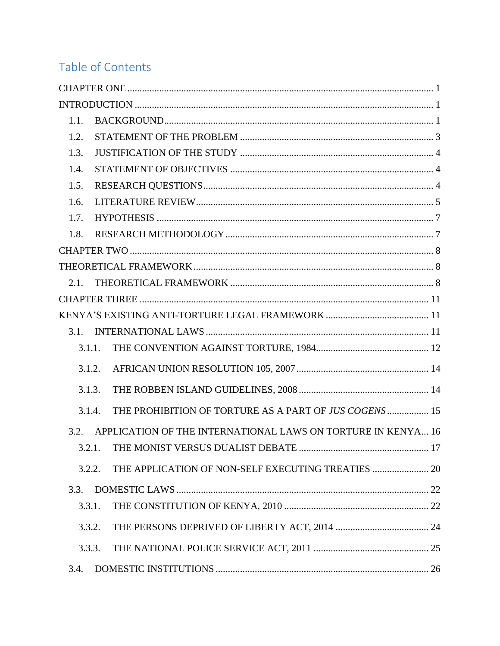# Table of Contents

| 1.1.    |                                                              |  |
|---------|--------------------------------------------------------------|--|
| 1.2.    |                                                              |  |
| 1.3.    |                                                              |  |
| 1.4.    |                                                              |  |
| 1.5.    |                                                              |  |
| 1.6.    |                                                              |  |
| 1.7.    |                                                              |  |
| 1.8.    |                                                              |  |
|         |                                                              |  |
|         |                                                              |  |
| $2.1$ . |                                                              |  |
|         |                                                              |  |
|         |                                                              |  |
|         |                                                              |  |
| 3.1.1.  |                                                              |  |
| 3.1.2.  |                                                              |  |
| 3.1.3.  |                                                              |  |
| 3.1.4.  | THE PROHIBITION OF TORTURE AS A PART OF JUS COGENS  15       |  |
| 3.2.    | APPLICATION OF THE INTERNATIONAL LAWS ON TORTURE IN KENYA 16 |  |
|         |                                                              |  |
| 3.2.2.  |                                                              |  |
| 3.3.    |                                                              |  |
| 3.3.1.  |                                                              |  |
| 3.3.2.  |                                                              |  |
| 3.3.3.  |                                                              |  |
| 3.4.    |                                                              |  |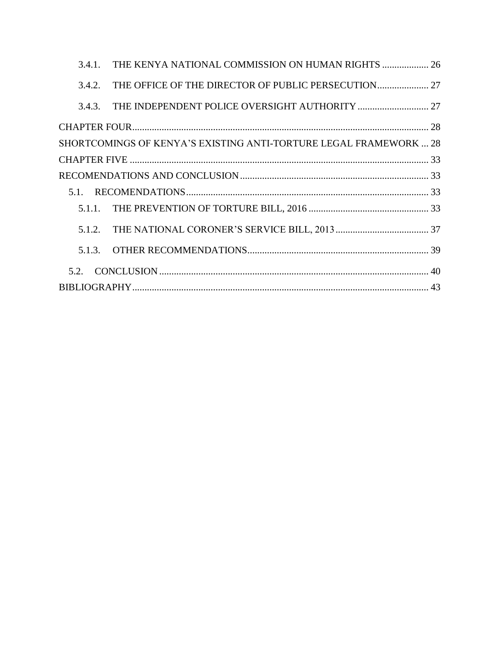| 3.4.1. | THE KENYA NATIONAL COMMISSION ON HUMAN RIGHTS  26                 |  |
|--------|-------------------------------------------------------------------|--|
| 3.4.2. |                                                                   |  |
| 3.4.3. |                                                                   |  |
|        |                                                                   |  |
|        | SHORTCOMINGS OF KENYA'S EXISTING ANTI-TORTURE LEGAL FRAMEWORK  28 |  |
|        |                                                                   |  |
|        |                                                                   |  |
|        |                                                                   |  |
|        |                                                                   |  |
| 5.1.2  |                                                                   |  |
| 5.1.3. |                                                                   |  |
|        |                                                                   |  |
|        |                                                                   |  |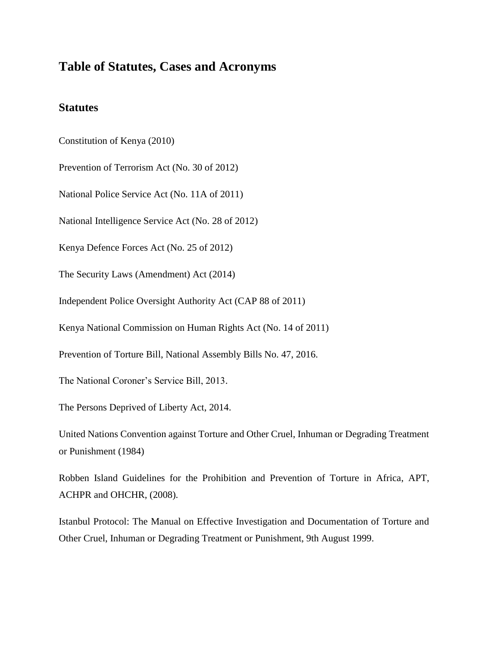# **Table of Statutes, Cases and Acronyms**

### **Statutes**

Constitution of Kenya (2010)

Prevention of Terrorism Act (No. 30 of 2012)

National Police Service Act (No. 11A of 2011)

National Intelligence Service Act (No. 28 of 2012)

Kenya Defence Forces Act (No. 25 of 2012)

The Security Laws (Amendment) Act (2014)

Independent Police Oversight Authority Act (CAP 88 of 2011)

Kenya National Commission on Human Rights Act (No. 14 of 2011)

Prevention of Torture Bill, National Assembly Bills No. 47, 2016.

The National Coroner's Service Bill, 2013.

The Persons Deprived of Liberty Act, 2014.

United Nations Convention against Torture and Other Cruel, Inhuman or Degrading Treatment or Punishment (1984)

Robben Island Guidelines for the Prohibition and Prevention of Torture in Africa, APT, ACHPR and OHCHR, (2008).

Istanbul Protocol: The Manual on Effective Investigation and Documentation of Torture and Other Cruel, Inhuman or Degrading Treatment or Punishment, 9th August 1999.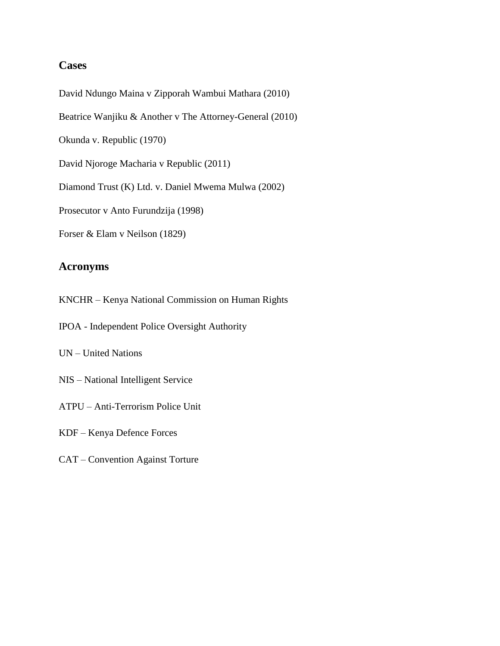### **Cases**

David Ndungo Maina v Zipporah Wambui Mathara (2010)

Beatrice Wanjiku & Another v The Attorney-General (2010)

Okunda v. Republic (1970)

David Njoroge Macharia v Republic (2011)

Diamond Trust (K) Ltd. v. Daniel Mwema Mulwa (2002)

Prosecutor v Anto Furundzija (1998)

Forser & Elam v Neilson (1829)

# **Acronyms**

KNCHR – Kenya National Commission on Human Rights

- IPOA Independent Police Oversight Authority
- UN United Nations
- NIS National Intelligent Service
- ATPU Anti-Terrorism Police Unit

KDF – Kenya Defence Forces

CAT – Convention Against Torture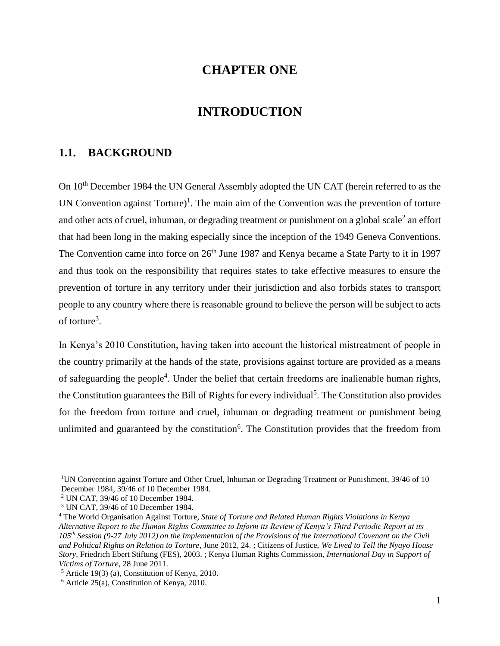# **CHAPTER ONE**

# **INTRODUCTION**

# <span id="page-6-2"></span><span id="page-6-1"></span><span id="page-6-0"></span>**1.1. BACKGROUND**

On 10<sup>th</sup> December 1984 the UN General Assembly adopted the UN CAT (herein referred to as the UN Convention against  $Torture)^1$ . The main aim of the Convention was the prevention of torture and other acts of cruel, inhuman, or degrading treatment or punishment on a global scale<sup>2</sup> an effort that had been long in the making especially since the inception of the 1949 Geneva Conventions. The Convention came into force on 26<sup>th</sup> June 1987 and Kenya became a State Party to it in 1997 and thus took on the responsibility that requires states to take effective measures to ensure the prevention of torture in any territory under their jurisdiction and also forbids states to transport people to any country where there is reasonable ground to believe the person will be subject to acts of torture<sup>3</sup>.

In Kenya's 2010 Constitution, having taken into account the historical mistreatment of people in the country primarily at the hands of the state, provisions against torture are provided as a means of safeguarding the people<sup>4</sup>. Under the belief that certain freedoms are inalienable human rights, the Constitution guarantees the Bill of Rights for every individual<sup>5</sup>. The Constitution also provides for the freedom from torture and cruel, inhuman or degrading treatment or punishment being unlimited and guaranteed by the constitution<sup>6</sup>. The Constitution provides that the freedom from

<sup>1</sup>UN Convention against Torture and Other Cruel, Inhuman or Degrading Treatment or Punishment, 39/46 of 10 December 1984, 39/46 of 10 December 1984.

<sup>2</sup> UN CAT, 39/46 of 10 December 1984.

<sup>3</sup> UN CAT, 39/46 of 10 December 1984.

<sup>4</sup> The World Organisation Against Torture, *State of Torture and Related Human Rights Violations in Kenya Alternative Report to the Human Rights Committee to Inform its Review of Kenya's Third Periodic Report at its 105th Session (9-27 July 2012) on the Implementation of the Provisions of the International Covenant on the Civil and Political Rights on Relation to Torture*, June 2012, 24. ; Citizens of Justice, *We Lived to Tell the Nyayo House Story*, Friedrich Ebert Stiftung (FES), 2003. ; Kenya Human Rights Commission, *International Day in Support of Victims of Torture*, 28 June 2011.

 $<sup>5</sup>$  Article 19(3) (a), Constitution of Kenya, 2010.</sup>

 $6$  Article 25(a), Constitution of Kenya, 2010.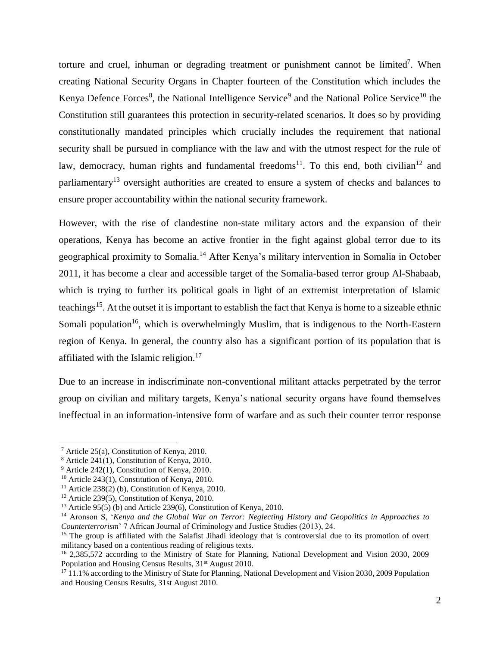torture and cruel, inhuman or degrading treatment or punishment cannot be limited<sup>7</sup>. When creating National Security Organs in Chapter fourteen of the Constitution which includes the Kenya Defence Forces<sup>8</sup>, the National Intelligence Service<sup>9</sup> and the National Police Service<sup>10</sup> the Constitution still guarantees this protection in security-related scenarios. It does so by providing constitutionally mandated principles which crucially includes the requirement that national security shall be pursued in compliance with the law and with the utmost respect for the rule of law, democracy, human rights and fundamental freedoms<sup>11</sup>. To this end, both civilian<sup>12</sup> and parliamentary<sup>13</sup> oversight authorities are created to ensure a system of checks and balances to ensure proper accountability within the national security framework.

However, with the rise of clandestine non-state military actors and the expansion of their operations, Kenya has become an active frontier in the fight against global terror due to its geographical proximity to Somalia.<sup>14</sup> After Kenya's military intervention in Somalia in October 2011, it has become a clear and accessible target of the Somalia-based terror group Al-Shabaab, which is trying to further its political goals in light of an extremist interpretation of Islamic teachings<sup>15</sup>. At the outset it is important to establish the fact that Kenya is home to a sizeable ethnic Somali population<sup>16</sup>, which is overwhelmingly Muslim, that is indigenous to the North-Eastern region of Kenya. In general, the country also has a significant portion of its population that is affiliated with the Islamic religion.<sup>17</sup>

Due to an increase in indiscriminate non-conventional militant attacks perpetrated by the terror group on civilian and military targets, Kenya's national security organs have found themselves ineffectual in an information-intensive form of warfare and as such their counter terror response

<sup>7</sup> Article 25(a), Constitution of Kenya, 2010.

<sup>8</sup> Article 241(1), Constitution of Kenya, 2010.

<sup>9</sup> Article 242(1), Constitution of Kenya, 2010.

<sup>&</sup>lt;sup>10</sup> Article 243(1), Constitution of Kenya, 2010.

<sup>&</sup>lt;sup>11</sup> Article 238(2) (b), Constitution of Kenya, 2010.

<sup>&</sup>lt;sup>12</sup> Article 239(5), Constitution of Kenya, 2010.

<sup>&</sup>lt;sup>13</sup> Article 95(5) (b) and Article 239(6), Constitution of Kenya, 2010.

<sup>14</sup> Aronson S, '*Kenya and the Global War on Terror: Neglecting History and Geopolitics in Approaches to Counterterrorism*' 7 African Journal of Criminology and Justice Studies (2013), 24.

<sup>&</sup>lt;sup>15</sup> The group is affiliated with the Salafist Jihadi ideology that is controversial due to its promotion of overt militancy based on a contentious reading of religious texts.

<sup>16</sup> 2,385,572 according to the Ministry of State for Planning, National Development and Vision 2030, 2009 Population and Housing Census Results,  $31<sup>st</sup>$  August 2010.

<sup>&</sup>lt;sup>17</sup> 11.1% according to the Ministry of State for Planning, National Development and Vision 2030, 2009 Population and Housing Census Results, 31st August 2010.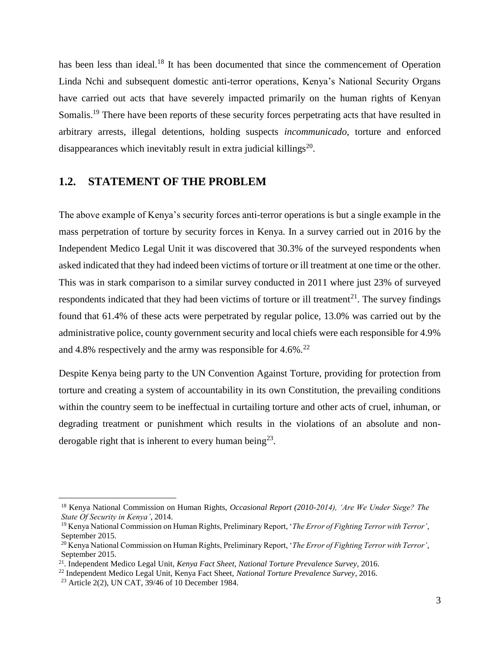has been less than ideal.<sup>18</sup> It has been documented that since the commencement of Operation Linda Nchi and subsequent domestic anti-terror operations, Kenya's National Security Organs have carried out acts that have severely impacted primarily on the human rights of Kenyan Somalis.<sup>19</sup> There have been reports of these security forces perpetrating acts that have resulted in arbitrary arrests, illegal detentions, holding suspects *incommunicado*, torture and enforced disappearances which inevitably result in extra judicial killings<sup>20</sup>.

# <span id="page-8-0"></span>**1.2. STATEMENT OF THE PROBLEM**

The above example of Kenya's security forces anti-terror operations is but a single example in the mass perpetration of torture by security forces in Kenya. In a survey carried out in 2016 by the Independent Medico Legal Unit it was discovered that 30.3% of the surveyed respondents when asked indicated that they had indeed been victims of torture or ill treatment at one time or the other. This was in stark comparison to a similar survey conducted in 2011 where just 23% of surveyed respondents indicated that they had been victims of torture or ill treatment<sup>21</sup>. The survey findings found that 61.4% of these acts were perpetrated by regular police, 13.0% was carried out by the administrative police, county government security and local chiefs were each responsible for 4.9% and 4.8% respectively and the army was responsible for  $4.6\%$ .<sup>22</sup>

Despite Kenya being party to the UN Convention Against Torture, providing for protection from torture and creating a system of accountability in its own Constitution, the prevailing conditions within the country seem to be ineffectual in curtailing torture and other acts of cruel, inhuman, or degrading treatment or punishment which results in the violations of an absolute and nonderogable right that is inherent to every human being<sup>23</sup>.

<sup>18</sup> Kenya National Commission on Human Rights, *Occasional Report (2010-2014), 'Are We Under Siege? The State Of Security in Kenya'*, 2014.

<sup>19</sup> Kenya National Commission on Human Rights, Preliminary Report, '*The Error of Fighting Terror with Terror'*, September 2015.

<sup>20</sup> Kenya National Commission on Human Rights, Preliminary Report, '*The Error of Fighting Terror with Terror'*, September 2015.

<sup>21</sup>. Independent Medico Legal Unit, *Kenya Fact Sheet, National Torture Prevalence Survey,* 2016.

<sup>22</sup> Independent Medico Legal Unit, Kenya Fact Sheet, *National Torture Prevalence Survey*, 2016.

<sup>23</sup> Article 2(2), UN CAT, 39/46 of 10 December 1984.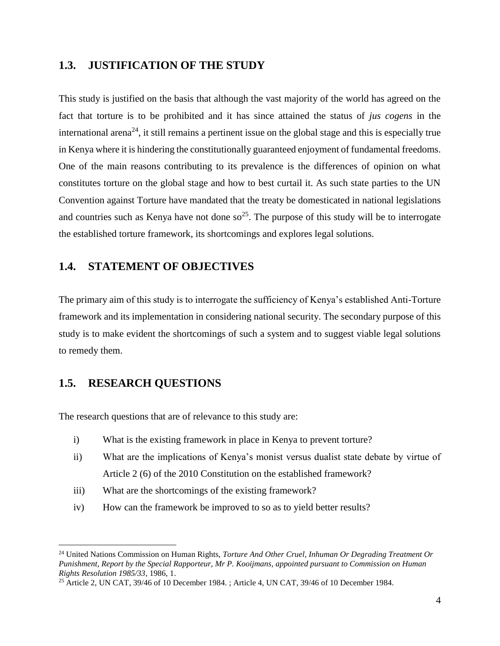### <span id="page-9-0"></span>**1.3. JUSTIFICATION OF THE STUDY**

This study is justified on the basis that although the vast majority of the world has agreed on the fact that torture is to be prohibited and it has since attained the status of *jus cogens* in the international arena<sup>24</sup>, it still remains a pertinent issue on the global stage and this is especially true in Kenya where it is hindering the constitutionally guaranteed enjoyment of fundamental freedoms. One of the main reasons contributing to its prevalence is the differences of opinion on what constitutes torture on the global stage and how to best curtail it. As such state parties to the UN Convention against Torture have mandated that the treaty be domesticated in national legislations and countries such as Kenya have not done  $\mathrm{so}^{25}$ . The purpose of this study will be to interrogate the established torture framework, its shortcomings and explores legal solutions.

## <span id="page-9-1"></span>**1.4. STATEMENT OF OBJECTIVES**

The primary aim of this study is to interrogate the sufficiency of Kenya's established Anti-Torture framework and its implementation in considering national security. The secondary purpose of this study is to make evident the shortcomings of such a system and to suggest viable legal solutions to remedy them.

# <span id="page-9-2"></span>**1.5. RESEARCH QUESTIONS**

 $\overline{a}$ 

The research questions that are of relevance to this study are:

- i) What is the existing framework in place in Kenya to prevent torture?
- ii) What are the implications of Kenya's monist versus dualist state debate by virtue of Article 2 (6) of the 2010 Constitution on the established framework?
- iii) What are the shortcomings of the existing framework?
- iv) How can the framework be improved to so as to yield better results?

<sup>24</sup> United Nations Commission on Human Rights, *Torture And Other Cruel, Inhuman Or Degrading Treatment Or Punishment, Report by the Special Rapporteur, Mr P. Kooijmans, appointed pursuant to Commission on Human Rights Resolution 1985/33*, 1986, 1.

<sup>&</sup>lt;sup>25</sup> Article 2, UN CAT, 39/46 of 10 December 1984. ; Article 4, UN CAT, 39/46 of 10 December 1984.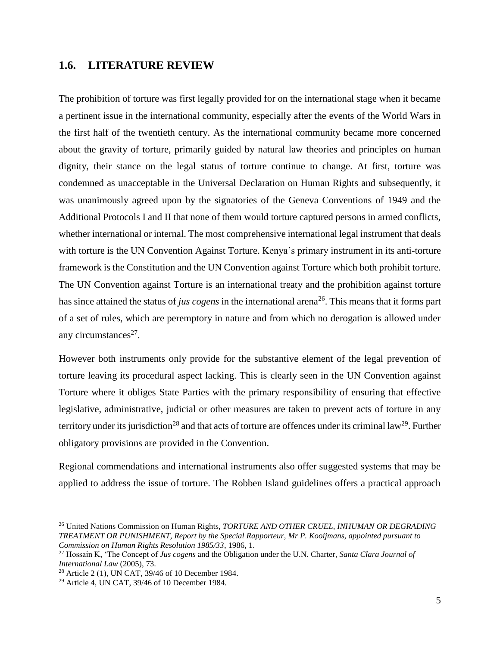### <span id="page-10-0"></span>**1.6. LITERATURE REVIEW**

The prohibition of torture was first legally provided for on the international stage when it became a pertinent issue in the international community, especially after the events of the World Wars in the first half of the twentieth century. As the international community became more concerned about the gravity of torture, primarily guided by natural law theories and principles on human dignity, their stance on the legal status of torture continue to change. At first, torture was condemned as unacceptable in the Universal Declaration on Human Rights and subsequently, it was unanimously agreed upon by the signatories of the Geneva Conventions of 1949 and the Additional Protocols I and II that none of them would torture captured persons in armed conflicts, whether international or internal. The most comprehensive international legal instrument that deals with torture is the UN Convention Against Torture. Kenya's primary instrument in its anti-torture framework is the Constitution and the UN Convention against Torture which both prohibit torture. The UN Convention against Torture is an international treaty and the prohibition against torture has since attained the status of *jus cogens* in the international arena<sup>26</sup>. This means that it forms part of a set of rules, which are peremptory in nature and from which no derogation is allowed under any circumstances $27$ .

However both instruments only provide for the substantive element of the legal prevention of torture leaving its procedural aspect lacking. This is clearly seen in the UN Convention against Torture where it obliges State Parties with the primary responsibility of ensuring that effective legislative, administrative, judicial or other measures are taken to prevent acts of torture in any territory under its jurisdiction<sup>28</sup> and that acts of torture are offences under its criminal law<sup>29</sup>. Further obligatory provisions are provided in the Convention.

Regional commendations and international instruments also offer suggested systems that may be applied to address the issue of torture. The Robben Island guidelines offers a practical approach

<sup>26</sup> United Nations Commission on Human Rights, *TORTURE AND OTHER CRUEL, INHUMAN OR DEGRADING TREATMENT OR PUNISHMENT, Report by the Special Rapporteur, Mr P. Kooijmans, appointed pursuant to Commission on Human Rights Resolution 1985/33*, 1986, 1.

<sup>27</sup> Hossain K, 'The Concept of *Jus cogens* and the Obligation under the U.N. Charter, *Santa Clara Journal of International Law* (2005), 73.

<sup>28</sup> Article 2 (1), UN CAT, 39/46 of 10 December 1984.

<sup>29</sup> Article 4, UN CAT, 39/46 of 10 December 1984.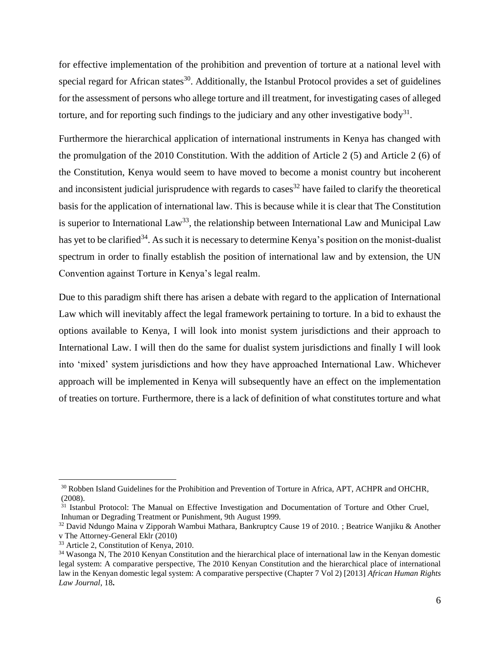for effective implementation of the prohibition and prevention of torture at a national level with special regard for African states<sup>30</sup>. Additionally, the Istanbul Protocol provides a set of guidelines for the assessment of persons who allege torture and ill treatment, for investigating cases of alleged torture, and for reporting such findings to the judiciary and any other investigative body<sup>31</sup>.

Furthermore the hierarchical application of international instruments in Kenya has changed with the promulgation of the 2010 Constitution. With the addition of Article 2 (5) and Article 2 (6) of the Constitution, Kenya would seem to have moved to become a monist country but incoherent and inconsistent judicial jurisprudence with regards to cases<sup>32</sup> have failed to clarify the theoretical basis for the application of international law. This is because while it is clear that The Constitution is superior to International Law<sup>33</sup>, the relationship between International Law and Municipal Law has yet to be clarified<sup>34</sup>. As such it is necessary to determine Kenya's position on the monist-dualist spectrum in order to finally establish the position of international law and by extension, the UN Convention against Torture in Kenya's legal realm.

Due to this paradigm shift there has arisen a debate with regard to the application of International Law which will inevitably affect the legal framework pertaining to torture. In a bid to exhaust the options available to Kenya, I will look into monist system jurisdictions and their approach to International Law. I will then do the same for dualist system jurisdictions and finally I will look into 'mixed' system jurisdictions and how they have approached International Law. Whichever approach will be implemented in Kenya will subsequently have an effect on the implementation of treaties on torture. Furthermore, there is a lack of definition of what constitutes torture and what

<sup>&</sup>lt;sup>30</sup> Robben Island Guidelines for the Prohibition and Prevention of Torture in Africa, APT, ACHPR and OHCHR, (2008).

<sup>&</sup>lt;sup>31</sup> Istanbul Protocol: The Manual on Effective Investigation and Documentation of Torture and Other Cruel, Inhuman or Degrading Treatment or Punishment, 9th August 1999.

 $32$  David Ndungo Maina v Zipporah Wambui Mathara, Bankruptcy Cause 19 of 2010. ; Beatrice Wanjiku & Another v The Attorney-General Eklr (2010)

<sup>33</sup> Article 2, Constitution of Kenya, 2010.

<sup>&</sup>lt;sup>34</sup> Wasonga N, The 2010 Kenyan Constitution and the hierarchical place of international law in the Kenyan domestic legal system: A comparative perspective, The 2010 Kenyan Constitution and the hierarchical place of international law in the Kenyan domestic legal system: A comparative perspective (Chapter 7 Vol 2) [2013] *African Human Rights Law Journal*, 18**.**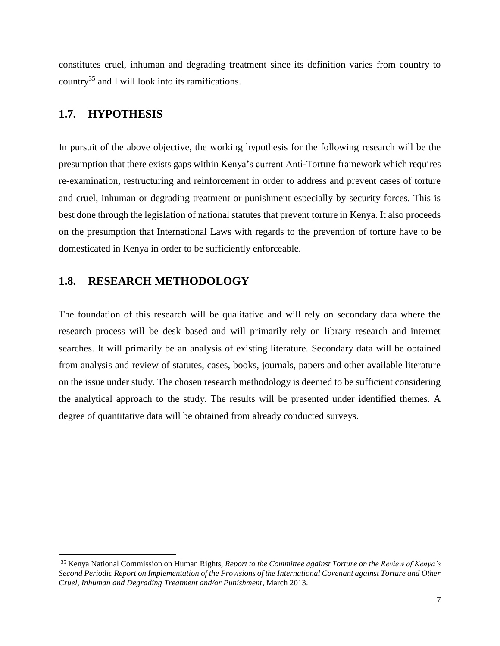constitutes cruel, inhuman and degrading treatment since its definition varies from country to country<sup>35</sup> and I will look into its ramifications.

#### <span id="page-12-0"></span>**1.7. HYPOTHESIS**

 $\overline{a}$ 

In pursuit of the above objective, the working hypothesis for the following research will be the presumption that there exists gaps within Kenya's current Anti-Torture framework which requires re-examination, restructuring and reinforcement in order to address and prevent cases of torture and cruel, inhuman or degrading treatment or punishment especially by security forces. This is best done through the legislation of national statutes that prevent torture in Kenya. It also proceeds on the presumption that International Laws with regards to the prevention of torture have to be domesticated in Kenya in order to be sufficiently enforceable.

# <span id="page-12-1"></span>**1.8. RESEARCH METHODOLOGY**

The foundation of this research will be qualitative and will rely on secondary data where the research process will be desk based and will primarily rely on library research and internet searches. It will primarily be an analysis of existing literature. Secondary data will be obtained from analysis and review of statutes, cases, books, journals, papers and other available literature on the issue under study. The chosen research methodology is deemed to be sufficient considering the analytical approach to the study. The results will be presented under identified themes. A degree of quantitative data will be obtained from already conducted surveys.

<sup>35</sup> Kenya National Commission on Human Rights, *Report to the Committee against Torture on the Review of Kenya's Second Periodic Report on Implementation of the Provisions of the International Covenant against Torture and Other Cruel, Inhuman and Degrading Treatment and/or Punishment*, March 2013.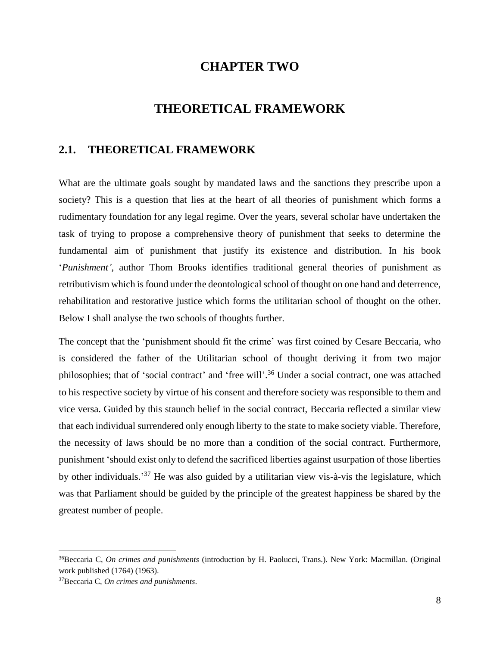# **CHAPTER TWO**

# **THEORETICAL FRAMEWORK**

### <span id="page-13-2"></span><span id="page-13-1"></span><span id="page-13-0"></span>**2.1. THEORETICAL FRAMEWORK**

What are the ultimate goals sought by mandated laws and the sanctions they prescribe upon a society? This is a question that lies at the heart of all theories of punishment which forms a rudimentary foundation for any legal regime. Over the years, several scholar have undertaken the task of trying to propose a comprehensive theory of punishment that seeks to determine the fundamental aim of punishment that justify its existence and distribution. In his book '*Punishment'*, author Thom Brooks identifies traditional general theories of punishment as retributivism which is found under the deontological school of thought on one hand and deterrence, rehabilitation and restorative justice which forms the utilitarian school of thought on the other. Below I shall analyse the two schools of thoughts further.

The concept that the 'punishment should fit the crime' was first coined by Cesare Beccaria, who is considered the father of the Utilitarian school of thought deriving it from two major philosophies; that of 'social contract' and 'free will'.<sup>36</sup> Under a social contract, one was attached to his respective society by virtue of his consent and therefore society was responsible to them and vice versa. Guided by this staunch belief in the social contract, Beccaria reflected a similar view that each individual surrendered only enough liberty to the state to make society viable. Therefore, the necessity of laws should be no more than a condition of the social contract. Furthermore, punishment 'should exist only to defend the sacrificed liberties against usurpation of those liberties by other individuals.<sup>37</sup> He was also guided by a utilitarian view vis-à-vis the legislature, which was that Parliament should be guided by the principle of the greatest happiness be shared by the greatest number of people.

<sup>36</sup>Beccaria C, *On crimes and punishments* (introduction by H. Paolucci, Trans.). New York: Macmillan. (Original work published (1764) (1963).

<sup>37</sup>Beccaria C, *On crimes and punishments*.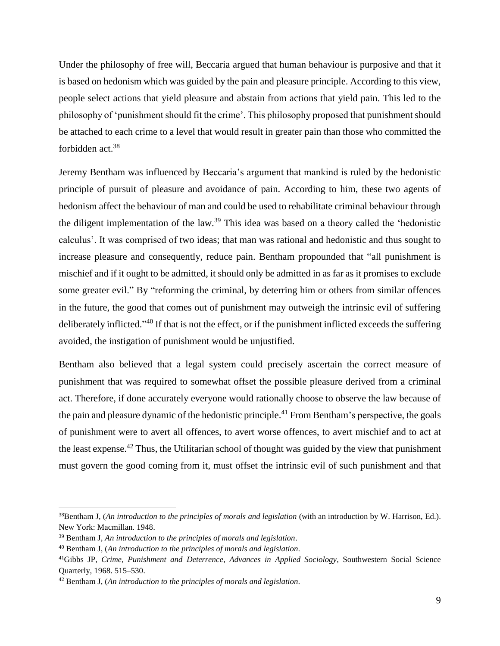Under the philosophy of free will, Beccaria argued that human behaviour is purposive and that it is based on hedonism which was guided by the pain and pleasure principle. According to this view, people select actions that yield pleasure and abstain from actions that yield pain. This led to the philosophy of 'punishment should fit the crime'. This philosophy proposed that punishment should be attached to each crime to a level that would result in greater pain than those who committed the forbidden act.<sup>38</sup>

Jeremy Bentham was influenced by Beccaria's argument that mankind is ruled by the hedonistic principle of pursuit of pleasure and avoidance of pain. According to him, these two agents of hedonism affect the behaviour of man and could be used to rehabilitate criminal behaviour through the diligent implementation of the law.<sup>39</sup> This idea was based on a theory called the 'hedonistic calculus'. It was comprised of two ideas; that man was rational and hedonistic and thus sought to increase pleasure and consequently, reduce pain. Bentham propounded that "all punishment is mischief and if it ought to be admitted, it should only be admitted in as far as it promises to exclude some greater evil." By "reforming the criminal, by deterring him or others from similar offences in the future, the good that comes out of punishment may outweigh the intrinsic evil of suffering deliberately inflicted."<sup>40</sup> If that is not the effect, or if the punishment inflicted exceeds the suffering avoided, the instigation of punishment would be unjustified.

Bentham also believed that a legal system could precisely ascertain the correct measure of punishment that was required to somewhat offset the possible pleasure derived from a criminal act. Therefore, if done accurately everyone would rationally choose to observe the law because of the pain and pleasure dynamic of the hedonistic principle.<sup>41</sup> From Bentham's perspective, the goals of punishment were to avert all offences, to avert worse offences, to avert mischief and to act at the least expense.<sup>42</sup> Thus, the Utilitarian school of thought was guided by the view that punishment must govern the good coming from it, must offset the intrinsic evil of such punishment and that

<sup>&</sup>lt;sup>38</sup>Bentham J, (*An introduction to the principles of morals and legislation* (with an introduction by W. Harrison, Ed.). New York: Macmillan. 1948.

<sup>39</sup> Bentham J, *An introduction to the principles of morals and legislation*.

<sup>40</sup> Bentham J, (*An introduction to the principles of morals and legislation*.

<sup>41</sup>Gibbs JP, *Crime, Punishment and Deterrence*, *Advances in Applied Sociology*, Southwestern Social Science Quarterly*,* 1968. 515–530.

<sup>42</sup> Bentham J, (*An introduction to the principles of morals and legislation*.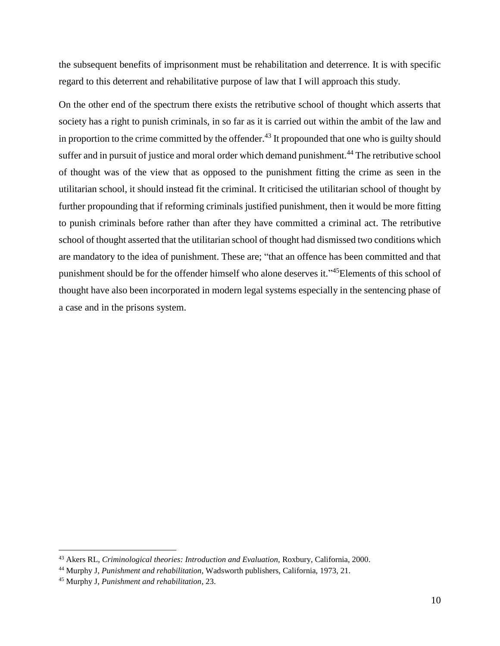the subsequent benefits of imprisonment must be rehabilitation and deterrence. It is with specific regard to this deterrent and rehabilitative purpose of law that I will approach this study.

On the other end of the spectrum there exists the retributive school of thought which asserts that society has a right to punish criminals, in so far as it is carried out within the ambit of the law and in proportion to the crime committed by the offender.<sup>43</sup> It propounded that one who is guilty should suffer and in pursuit of justice and moral order which demand punishment.<sup>44</sup> The retributive school of thought was of the view that as opposed to the punishment fitting the crime as seen in the utilitarian school, it should instead fit the criminal. It criticised the utilitarian school of thought by further propounding that if reforming criminals justified punishment, then it would be more fitting to punish criminals before rather than after they have committed a criminal act. The retributive school of thought asserted that the utilitarian school of thought had dismissed two conditions which are mandatory to the idea of punishment. These are; "that an offence has been committed and that punishment should be for the offender himself who alone deserves it."<sup>45</sup>Elements of this school of thought have also been incorporated in modern legal systems especially in the sentencing phase of a case and in the prisons system.

<sup>43</sup> Akers RL, *Criminological theories: Introduction and Evaluation,* Roxbury, California, 2000.

<sup>44</sup> Murphy J*, Punishment and rehabilitation*, Wadsworth publishers, California, 1973, 21.

<sup>45</sup> Murphy J, *Punishment and rehabilitation*, 23.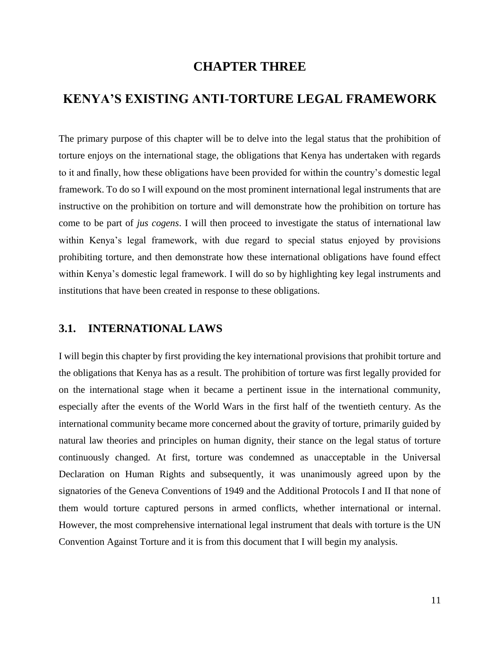# **CHAPTER THREE**

# <span id="page-16-1"></span><span id="page-16-0"></span>**KENYA'S EXISTING ANTI-TORTURE LEGAL FRAMEWORK**

The primary purpose of this chapter will be to delve into the legal status that the prohibition of torture enjoys on the international stage, the obligations that Kenya has undertaken with regards to it and finally, how these obligations have been provided for within the country's domestic legal framework. To do so I will expound on the most prominent international legal instruments that are instructive on the prohibition on torture and will demonstrate how the prohibition on torture has come to be part of *jus cogens*. I will then proceed to investigate the status of international law within Kenya's legal framework, with due regard to special status enjoyed by provisions prohibiting torture, and then demonstrate how these international obligations have found effect within Kenya's domestic legal framework. I will do so by highlighting key legal instruments and institutions that have been created in response to these obligations.

### <span id="page-16-2"></span>**3.1. INTERNATIONAL LAWS**

I will begin this chapter by first providing the key international provisions that prohibit torture and the obligations that Kenya has as a result. The prohibition of torture was first legally provided for on the international stage when it became a pertinent issue in the international community, especially after the events of the World Wars in the first half of the twentieth century. As the international community became more concerned about the gravity of torture, primarily guided by natural law theories and principles on human dignity, their stance on the legal status of torture continuously changed. At first, torture was condemned as unacceptable in the Universal Declaration on Human Rights and subsequently, it was unanimously agreed upon by the signatories of the Geneva Conventions of 1949 and the Additional Protocols I and II that none of them would torture captured persons in armed conflicts, whether international or internal. However, the most comprehensive international legal instrument that deals with torture is the UN Convention Against Torture and it is from this document that I will begin my analysis.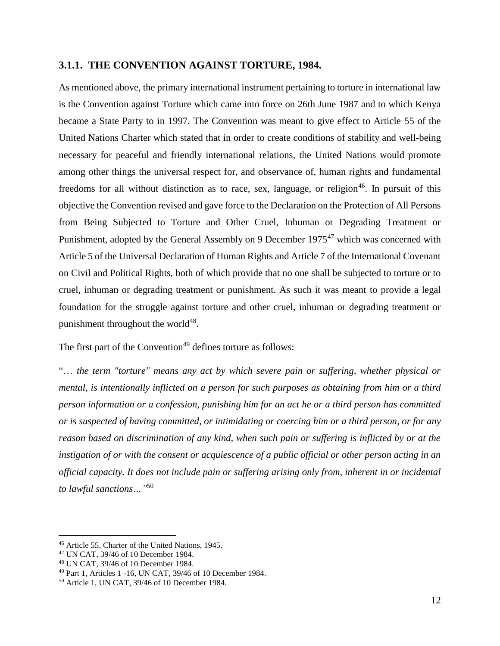#### <span id="page-17-0"></span>**3.1.1. THE CONVENTION AGAINST TORTURE, 1984.**

As mentioned above, the primary international instrument pertaining to torture in international law is the Convention against Torture which came into force on 26th June 1987 and to which Kenya became a State Party to in 1997. The Convention was meant to give effect to Article 55 of the United Nations Charter which stated that in order to create conditions of stability and well-being necessary for peaceful and friendly international relations, the United Nations would promote among other things the universal respect for, and observance of, human rights and fundamental freedoms for all without distinction as to race, sex, language, or religion<sup>46</sup>. In pursuit of this objective the Convention revised and gave force to the Declaration on the Protection of All Persons from Being Subjected to Torture and Other Cruel, Inhuman or Degrading Treatment or Punishment, adopted by the General Assembly on 9 December 1975<sup>47</sup> which was concerned with Article 5 of the Universal Declaration of Human Rights and Article 7 of the International Covenant on Civil and Political Rights, both of which provide that no one shall be subjected to torture or to cruel, inhuman or degrading treatment or punishment. As such it was meant to provide a legal foundation for the struggle against torture and other cruel, inhuman or degrading treatment or punishment throughout the world<sup>48</sup>.

The first part of the Convention<sup>49</sup> defines torture as follows:

"… *the term "torture" means any act by which severe pain or suffering, whether physical or mental, is intentionally inflicted on a person for such purposes as obtaining from him or a third person information or a confession, punishing him for an act he or a third person has committed or is suspected of having committed, or intimidating or coercing him or a third person, or for any reason based on discrimination of any kind, when such pain or suffering is inflicted by or at the instigation of or with the consent or acquiescence of a public official or other person acting in an official capacity. It does not include pain or suffering arising only from, inherent in or incidental to lawful sanctions…"*<sup>50</sup>

<sup>46</sup> Article 55, Charter of the United Nations, 1945.

<sup>47</sup> UN CAT, 39/46 of 10 December 1984.

<sup>48</sup> UN CAT, 39/46 of 10 December 1984.

<sup>49</sup> Part 1, Articles 1 -16, UN CAT, 39/46 of 10 December 1984.

<sup>50</sup> Article 1, UN CAT, 39/46 of 10 December 1984.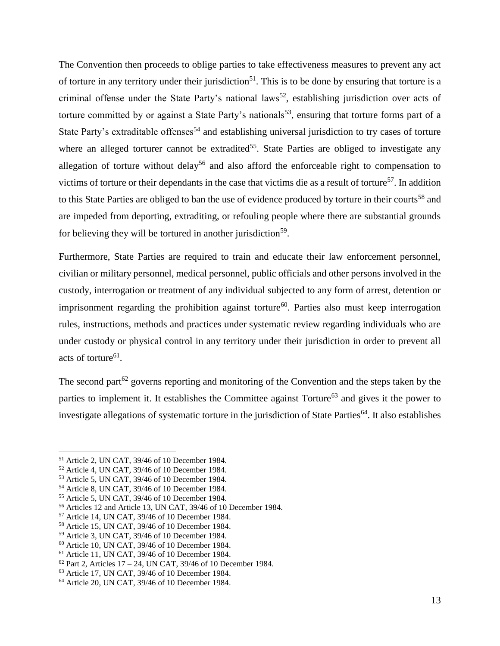The Convention then proceeds to oblige parties to take effectiveness measures to prevent any act of torture in any territory under their jurisdiction<sup>51</sup>. This is to be done by ensuring that torture is a criminal offense under the State Party's national laws<sup>52</sup>, establishing jurisdiction over acts of torture committed by or against a State Party's nationals<sup>53</sup>, ensuring that torture forms part of a State Party's extraditable offenses<sup>54</sup> and establishing universal jurisdiction to try cases of torture where an alleged torturer cannot be extradited<sup>55</sup>. State Parties are obliged to investigate any allegation of torture without delay<sup>56</sup> and also afford the enforceable right to compensation to victims of torture or their dependants in the case that victims die as a result of torture<sup>57</sup>. In addition to this State Parties are obliged to ban the use of evidence produced by torture in their courts<sup>58</sup> and are impeded from deporting, extraditing, or refouling people where there are substantial grounds for believing they will be tortured in another jurisdiction<sup>59</sup>.

Furthermore, State Parties are required to train and educate their law enforcement personnel, civilian or military personnel, medical personnel, public officials and other persons involved in the custody, interrogation or treatment of any individual subjected to any form of arrest, detention or imprisonment regarding the prohibition against torture<sup>60</sup>. Parties also must keep interrogation rules, instructions, methods and practices under systematic review regarding individuals who are under custody or physical control in any territory under their jurisdiction in order to prevent all acts of torture<sup>61</sup>.

The second part<sup>62</sup> governs reporting and monitoring of the Convention and the steps taken by the parties to implement it. It establishes the Committee against Torture<sup>63</sup> and gives it the power to investigate allegations of systematic torture in the jurisdiction of State Parties<sup>64</sup>. It also establishes

<sup>51</sup> Article 2, UN CAT, 39/46 of 10 December 1984.

<sup>52</sup> Article 4, UN CAT, 39/46 of 10 December 1984.

<sup>53</sup> Article 5, UN CAT, 39/46 of 10 December 1984.

<sup>54</sup> Article 8, UN CAT, 39/46 of 10 December 1984.

<sup>55</sup> Article 5, UN CAT, 39/46 of 10 December 1984.

<sup>56</sup> Articles 12 and Article 13, UN CAT, 39/46 of 10 December 1984.

<sup>57</sup> Article 14, UN CAT, 39/46 of 10 December 1984.

<sup>58</sup> Article 15, UN CAT, 39/46 of 10 December 1984.

<sup>59</sup> Article 3, UN CAT, 39/46 of 10 December 1984.

<sup>60</sup> Article 10, UN CAT, 39/46 of 10 December 1984.

<sup>61</sup> Article 11, UN CAT, 39/46 of 10 December 1984.

 $62$  Part 2, Articles  $17 - 24$ , UN CAT, 39/46 of 10 December 1984.

<sup>63</sup> Article 17, UN CAT, 39/46 of 10 December 1984.

<sup>64</sup> Article 20, UN CAT, 39/46 of 10 December 1984.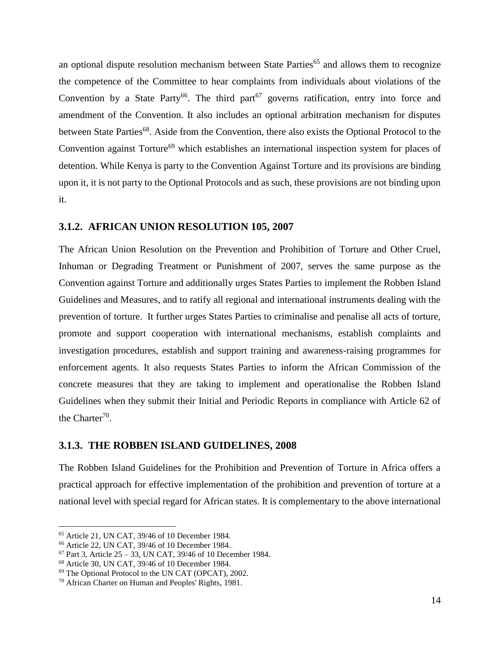an optional dispute resolution mechanism between State Parties<sup>65</sup> and allows them to recognize the competence of the Committee to hear complaints from individuals about violations of the Convention by a State Party<sup>66</sup>. The third part<sup>67</sup> governs ratification, entry into force and amendment of the Convention. It also includes an optional arbitration mechanism for disputes between State Parties<sup>68</sup>. Aside from the Convention, there also exists the Optional Protocol to the Convention against Torture<sup>69</sup> which establishes an international inspection system for places of detention. While Kenya is party to the Convention Against Torture and its provisions are binding upon it, it is not party to the Optional Protocols and as such, these provisions are not binding upon it.

#### <span id="page-19-0"></span>**3.1.2. AFRICAN UNION RESOLUTION 105, 2007**

The African Union Resolution on the Prevention and Prohibition of Torture and Other Cruel, Inhuman or Degrading Treatment or Punishment of 2007, serves the same purpose as the Convention against Torture and additionally urges States Parties to implement the Robben Island Guidelines and Measures, and to ratify all regional and international instruments dealing with the prevention of torture. It further urges States Parties to criminalise and penalise all acts of torture, promote and support cooperation with international mechanisms, establish complaints and investigation procedures, establish and support training and awareness-raising programmes for enforcement agents. It also requests States Parties to inform the African Commission of the concrete measures that they are taking to implement and operationalise the Robben Island Guidelines when they submit their Initial and Periodic Reports in compliance with Article 62 of the Charter<sup>70</sup>.

#### <span id="page-19-1"></span>**3.1.3. THE ROBBEN ISLAND GUIDELINES, 2008**

The Robben Island Guidelines for the Prohibition and Prevention of Torture in Africa offers a practical approach for effective implementation of the prohibition and prevention of torture at a national level with special regard for African states. It is complementary to the above international

<sup>65</sup> Article 21, UN CAT, 39/46 of 10 December 1984.

<sup>66</sup> Article 22, UN CAT, 39/46 of 10 December 1984.

 $67$  Part 3, Article 25 – 33, UN CAT, 39/46 of 10 December 1984.

<sup>68</sup> Article 30, UN CAT, 39/46 of 10 December 1984.

<sup>69</sup> The Optional Protocol to the UN CAT (OPCAT), 2002.

<sup>70</sup> African Charter on Human and Peoples' Rights, 1981.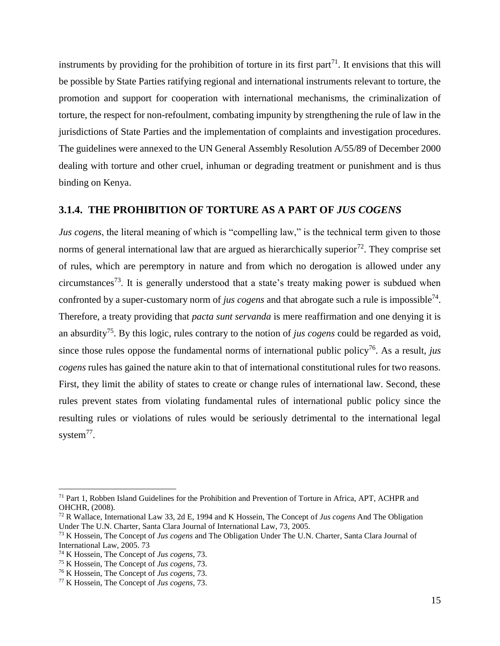instruments by providing for the prohibition of torture in its first part<sup>71</sup>. It envisions that this will be possible by State Parties ratifying regional and international instruments relevant to torture, the promotion and support for cooperation with international mechanisms, the criminalization of torture, the respect for non-refoulment, combating impunity by strengthening the rule of law in the jurisdictions of State Parties and the implementation of complaints and investigation procedures. The guidelines were annexed to the UN General Assembly Resolution A/55/89 of December 2000 dealing with torture and other cruel, inhuman or degrading treatment or punishment and is thus binding on Kenya.

#### <span id="page-20-0"></span>**3.1.4. THE PROHIBITION OF TORTURE AS A PART OF** *JUS COGENS*

*Jus cogens*, the literal meaning of which is "compelling law," is the technical term given to those norms of general international law that are argued as hierarchically superior<sup>72</sup>. They comprise set of rules, which are peremptory in nature and from which no derogation is allowed under any circumstances<sup>73</sup>. It is generally understood that a state's treaty making power is subdued when confronted by a super-customary norm of *jus cogens* and that abrogate such a rule is impossible<sup>74</sup>. Therefore, a treaty providing that *pacta sunt servanda* is mere reaffirmation and one denying it is an absurdity<sup>75</sup>. By this logic, rules contrary to the notion of *jus cogens* could be regarded as void, since those rules oppose the fundamental norms of international public policy<sup>76</sup>. As a result, *jus cogens* rules has gained the nature akin to that of international constitutional rules for two reasons. First, they limit the ability of states to create or change rules of international law. Second, these rules prevent states from violating fundamental rules of international public policy since the resulting rules or violations of rules would be seriously detrimental to the international legal system $^{77}$ .

<sup>&</sup>lt;sup>71</sup> Part 1, Robben Island Guidelines for the Prohibition and Prevention of Torture in Africa, APT, ACHPR and OHCHR, (2008).

<sup>72</sup> R Wallace, International Law 33, 2d E, 1994 and K Hossein, The Concept of *Jus cogens* And The Obligation Under The U.N. Charter, Santa Clara Journal of International Law, 73, 2005.

<sup>73</sup> K Hossein, The Concept of *Jus cogens* and The Obligation Under The U.N. Charter, Santa Clara Journal of International Law, 2005. 73

<sup>74</sup> K Hossein, The Concept of *Jus cogens*, 73.

<sup>75</sup> K Hossein, The Concept of *Jus cogens*, 73.

<sup>76</sup> K Hossein, The Concept of *Jus cogens*, 73.

<sup>77</sup> K Hossein, The Concept of *Jus cogens*, 73.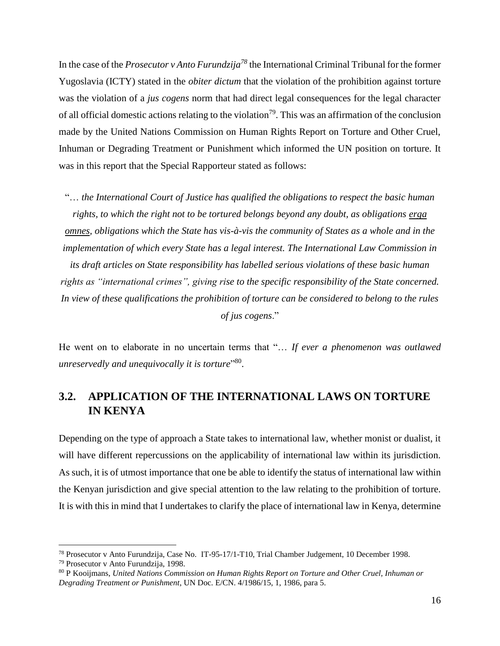In the case of the *Prosecutor v Anto Furundzija<sup>78</sup>* the International Criminal Tribunal for the former Yugoslavia (ICTY) stated in the *obiter dictum* that the violation of the prohibition against torture was the violation of a *jus cogens* norm that had direct legal consequences for the legal character of all official domestic actions relating to the violation<sup>79</sup>. This was an affirmation of the conclusion made by the United Nations Commission on Human Rights Report on Torture and Other Cruel, Inhuman or Degrading Treatment or Punishment which informed the UN position on torture. It was in this report that the Special Rapporteur stated as follows:

"… *the International Court of Justice has qualified the obligations to respect the basic human rights, to which the right not to be tortured belongs beyond any doubt, as obligations erga omnes, obligations which the State has vis-à-vis the community of States as a whole and in the implementation of which every State has a legal interest. The International Law Commission in its draft articles on State responsibility has labelled serious violations of these basic human rights as "international crimes", giving rise to the specific responsibility of the State concerned. In view of these qualifications the prohibition of torture can be considered to belong to the rules of jus cogens*."

He went on to elaborate in no uncertain terms that "… *If ever a phenomenon was outlawed unreservedly and unequivocally it is torture*" 80 .

# <span id="page-21-0"></span>**3.2. APPLICATION OF THE INTERNATIONAL LAWS ON TORTURE IN KENYA**

Depending on the type of approach a State takes to international law, whether monist or dualist, it will have different repercussions on the applicability of international law within its jurisdiction. As such, it is of utmost importance that one be able to identify the status of international law within the Kenyan jurisdiction and give special attention to the law relating to the prohibition of torture. It is with this in mind that I undertakes to clarify the place of international law in Kenya, determine

<sup>78</sup> Prosecutor v Anto Furundzija, Case No. IT-95-17/1-T10, Trial Chamber Judgement, 10 December 1998.

<sup>79</sup> Prosecutor v Anto Furundzija, 1998.

<sup>80</sup> P Kooijmans, *United Nations Commission on Human Rights Report on Torture and Other Cruel, Inhuman or Degrading Treatment or Punishment*, UN Doc. E/CN. 4/1986/15, 1, 1986, para 5.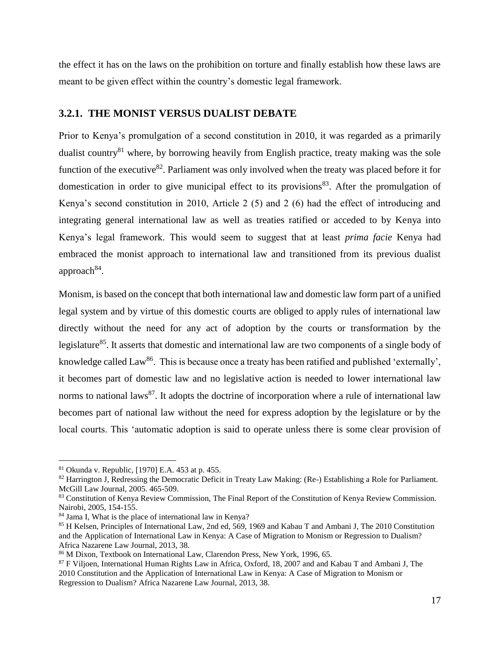the effect it has on the laws on the prohibition on torture and finally establish how these laws are meant to be given effect within the country's domestic legal framework.

#### <span id="page-22-0"></span>**3.2.1. THE MONIST VERSUS DUALIST DEBATE**

Prior to Kenya's promulgation of a second constitution in 2010, it was regarded as a primarily dualist country<sup>81</sup> where, by borrowing heavily from English practice, treaty making was the sole function of the executive<sup>82</sup>. Parliament was only involved when the treaty was placed before it for domestication in order to give municipal effect to its provisions<sup>83</sup>. After the promulgation of Kenya's second constitution in 2010, Article 2 (5) and 2 (6) had the effect of introducing and integrating general international law as well as treaties ratified or acceded to by Kenya into Kenya's legal framework. This would seem to suggest that at least *prima facie* Kenya had embraced the monist approach to international law and transitioned from its previous dualist approach<sup>84</sup>.

Monism, is based on the concept that both international law and domestic law form part of a unified legal system and by virtue of this domestic courts are obliged to apply rules of international law directly without the need for any act of adoption by the courts or transformation by the legislature<sup>85</sup>. It asserts that domestic and international law are two components of a single body of knowledge called Law<sup>86</sup>. This is because once a treaty has been ratified and published 'externally', it becomes part of domestic law and no legislative action is needed to lower international law norms to national laws<sup>87</sup>. It adopts the doctrine of incorporation where a rule of international law becomes part of national law without the need for express adoption by the legislature or by the local courts. This 'automatic adoption is said to operate unless there is some clear provision of

<sup>81</sup> Okunda v. Republic, [1970] E.A. 453 at p. 455.

<sup>82</sup> Harrington J, Redressing the Democratic Deficit in Treaty Law Making: (Re-) Establishing a Role for Parliament. McGill Law Journal, 2005. 465-509.

<sup>83</sup> Constitution of Kenya Review Commission, The Final Report of the Constitution of Kenya Review Commission. Nairobi, 2005, 154-155.

<sup>84</sup> Jama I, What is the place of international law in Kenya?

<sup>85</sup> H Kelsen, Principles of International Law, 2nd ed, 569, 1969 and Kabau T and Ambani J, The 2010 Constitution and the Application of International Law in Kenya: A Case of Migration to Monism or Regression to Dualism? Africa Nazarene Law Journal, 2013, 38.

<sup>86</sup> M Dixon, Textbook on International Law, Clarendon Press, New York, 1996, 65.

<sup>87</sup> F Viljoen, International Human Rights Law in Africa, Oxford, 18, 2007 and and Kabau T and Ambani J, The 2010 Constitution and the Application of International Law in Kenya: A Case of Migration to Monism or Regression to Dualism? Africa Nazarene Law Journal, 2013, 38.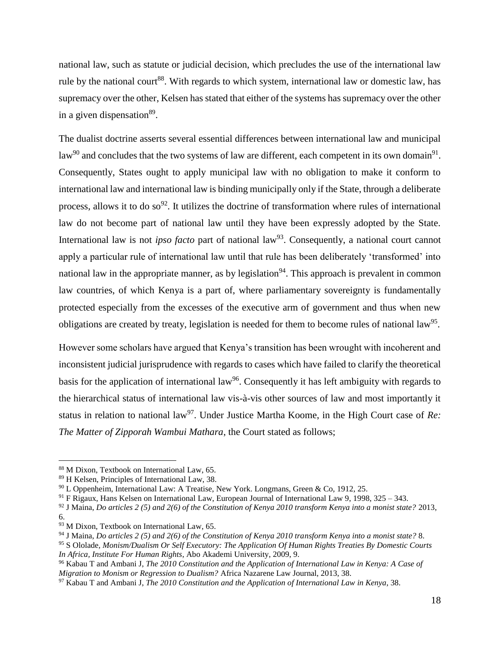national law, such as statute or judicial decision, which precludes the use of the international law rule by the national court<sup>88</sup>. With regards to which system, international law or domestic law, has supremacy over the other, Kelsen has stated that either of the systems has supremacy over the other in a given dispensation<sup>89</sup>.

The dualist doctrine asserts several essential differences between international law and municipal law<sup>90</sup> and concludes that the two systems of law are different, each competent in its own domain<sup>91</sup>. Consequently, States ought to apply municipal law with no obligation to make it conform to international law and international law is binding municipally only if the State, through a deliberate process, allows it to do so<sup>92</sup>. It utilizes the doctrine of transformation where rules of international law do not become part of national law until they have been expressly adopted by the State. International law is not *ipso facto* part of national law<sup>93</sup>. Consequently, a national court cannot apply a particular rule of international law until that rule has been deliberately 'transformed' into national law in the appropriate manner, as by legislation<sup>94</sup>. This approach is prevalent in common law countries, of which Kenya is a part of, where parliamentary sovereignty is fundamentally protected especially from the excesses of the executive arm of government and thus when new obligations are created by treaty, legislation is needed for them to become rules of national law<sup>95</sup>.

However some scholars have argued that Kenya's transition has been wrought with incoherent and inconsistent judicial jurisprudence with regards to cases which have failed to clarify the theoretical basis for the application of international law<sup>96</sup>. Consequently it has left ambiguity with regards to the hierarchical status of international law vis-à-vis other sources of law and most importantly it status in relation to national law<sup>97</sup>. Under Justice Martha Koome, in the High Court case of *Re*: *The Matter of Zipporah Wambui Mathara*, the Court stated as follows;

<sup>88</sup> M Dixon, Textbook on International Law, 65.

<sup>89</sup> H Kelsen, Principles of International Law, 38.

<sup>90</sup> L Oppenheim, International Law: A Treatise, New York. Longmans, Green & Co, 1912, 25.

<sup>91</sup> F Rigaux, Hans Kelsen on International Law, European Journal of International Law 9, 1998, 325 – 343.

<sup>92</sup> J Maina, *Do articles 2 (5) and 2(6) of the Constitution of Kenya 2010 transform Kenya into a monist state?* 2013,

<sup>6.</sup>

<sup>&</sup>lt;sup>93</sup> M Dixon, Textbook on International Law, 65.

<sup>94</sup> J Maina, *Do articles 2 (5) and 2(6) of the Constitution of Kenya 2010 transform Kenya into a monist state?* 8.

<sup>95</sup> S Ololade*, Monism/Dualism Or Self Executory: The Application Of Human Rights Treaties By Domestic Courts In Africa, Institute For Human Rights*, Abo Akademi University, 2009, 9.

<sup>96</sup> Kabau T and Ambani J, *The 2010 Constitution and the Application of International Law in Kenya: A Case of Migration to Monism or Regression to Dualism?* Africa Nazarene Law Journal, 2013, 38.

<sup>97</sup> Kabau T and Ambani J, *The 2010 Constitution and the Application of International Law in Kenya*, 38.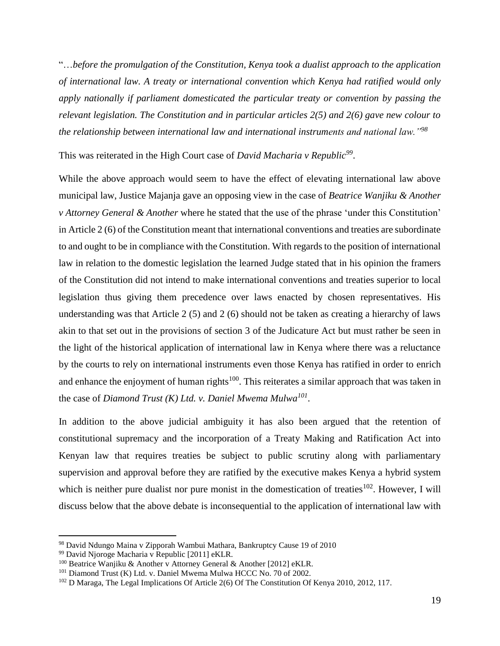"…*before the promulgation of the Constitution, Kenya took a dualist approach to the application of international law. A treaty or international convention which Kenya had ratified would only apply nationally if parliament domesticated the particular treaty or convention by passing the relevant legislation. The Constitution and in particular articles 2(5) and 2(6) gave new colour to the relationship between international law and international instruments and national law."<sup>98</sup>*

This was reiterated in the High Court case of *David Macharia v Republic<sup>99</sup>* .

While the above approach would seem to have the effect of elevating international law above municipal law, Justice Majanja gave an opposing view in the case of *Beatrice Wanjiku & Another v Attorney General & Another* where he stated that the use of the phrase 'under this Constitution' in Article 2 (6) of the Constitution meant that international conventions and treaties are subordinate to and ought to be in compliance with the Constitution. With regards to the position of international law in relation to the domestic legislation the learned Judge stated that in his opinion the framers of the Constitution did not intend to make international conventions and treaties superior to local legislation thus giving them precedence over laws enacted by chosen representatives. His understanding was that Article 2 (5) and 2 (6) should not be taken as creating a hierarchy of laws akin to that set out in the provisions of section 3 of the Judicature Act but must rather be seen in the light of the historical application of international law in Kenya where there was a reluctance by the courts to rely on international instruments even those Kenya has ratified in order to enrich and enhance the enjoyment of human rights<sup>100</sup>. This reiterates a similar approach that was taken in the case of *Diamond Trust (K) Ltd. v. Daniel Mwema Mulwa<sup>101</sup>* .

In addition to the above judicial ambiguity it has also been argued that the retention of constitutional supremacy and the incorporation of a Treaty Making and Ratification Act into Kenyan law that requires treaties be subject to public scrutiny along with parliamentary supervision and approval before they are ratified by the executive makes Kenya a hybrid system which is neither pure dualist nor pure monist in the domestication of treaties  $102$ . However, I will discuss below that the above debate is inconsequential to the application of international law with

<sup>98</sup> David Ndungo Maina v Zipporah Wambui Mathara, Bankruptcy Cause 19 of 2010

<sup>99</sup> David Njoroge Macharia v Republic [2011] eKLR.

<sup>100</sup> Beatrice Wanjiku & Another v Attorney General & Another [2012] eKLR.

<sup>&</sup>lt;sup>101</sup> Diamond Trust (K) Ltd. v. Daniel Mwema Mulwa HCCC No. 70 of 2002.

<sup>&</sup>lt;sup>102</sup> D Maraga, The Legal Implications Of Article 2(6) Of The Constitution Of Kenya 2010, 2012, 117.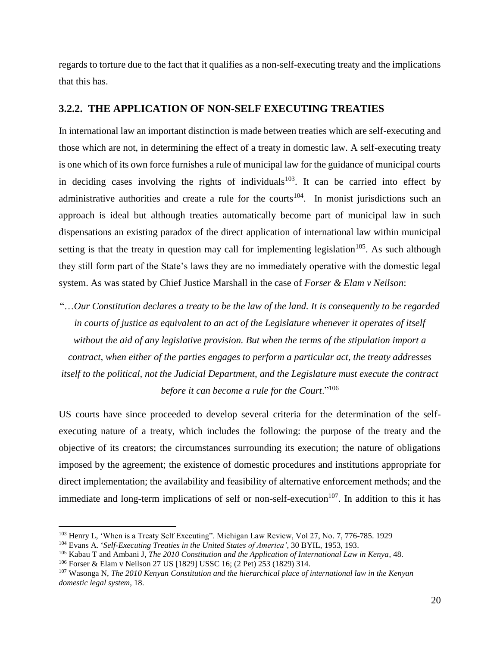regards to torture due to the fact that it qualifies as a non-self-executing treaty and the implications that this has.

#### <span id="page-25-0"></span>**3.2.2. THE APPLICATION OF NON-SELF EXECUTING TREATIES**

In international law an important distinction is made between treaties which are self-executing and those which are not, in determining the effect of a treaty in domestic law. A self-executing treaty is one which of its own force furnishes a rule of municipal law for the guidance of municipal courts in deciding cases involving the rights of individuals<sup>103</sup>. It can be carried into effect by administrative authorities and create a rule for the courts<sup>104</sup>. In monist jurisdictions such an approach is ideal but although treaties automatically become part of municipal law in such dispensations an existing paradox of the direct application of international law within municipal setting is that the treaty in question may call for implementing legislation<sup>105</sup>. As such although they still form part of the State's laws they are no immediately operative with the domestic legal system. As was stated by Chief Justice Marshall in the case of *Forser & Elam v Neilson*:

"…*Our Constitution declares a treaty to be the law of the land. It is consequently to be regarded in courts of justice as equivalent to an act of the Legislature whenever it operates of itself without the aid of any legislative provision. But when the terms of the stipulation import a contract, when either of the parties engages to perform a particular act, the treaty addresses itself to the political, not the Judicial Department, and the Legislature must execute the contract before it can become a rule for the Court*."<sup>106</sup>

US courts have since proceeded to develop several criteria for the determination of the selfexecuting nature of a treaty, which includes the following: the purpose of the treaty and the objective of its creators; the circumstances surrounding its execution; the nature of obligations imposed by the agreement; the existence of domestic procedures and institutions appropriate for direct implementation; the availability and feasibility of alternative enforcement methods; and the immediate and long-term implications of self or non-self-execution<sup>107</sup>. In addition to this it has

<sup>103</sup> Henry L, 'When is a Treaty Self Executing". Michigan Law Review, Vol 27, No. 7, 776-785. 1929

<sup>104</sup> Evans A. '*Self-Executing Treaties in the United States of America'*, 30 BYIL, 1953, 193.

<sup>105</sup> Kabau T and Ambani J, *The 2010 Constitution and the Application of International Law in Kenya*, 48.

<sup>106</sup> Forser & Elam v Neilson 27 US [1829] USSC 16; (2 Pet) 253 (1829) 314.

<sup>107</sup> Wasonga N, *The 2010 Kenyan Constitution and the hierarchical place of international law in the Kenyan domestic legal system*, 18.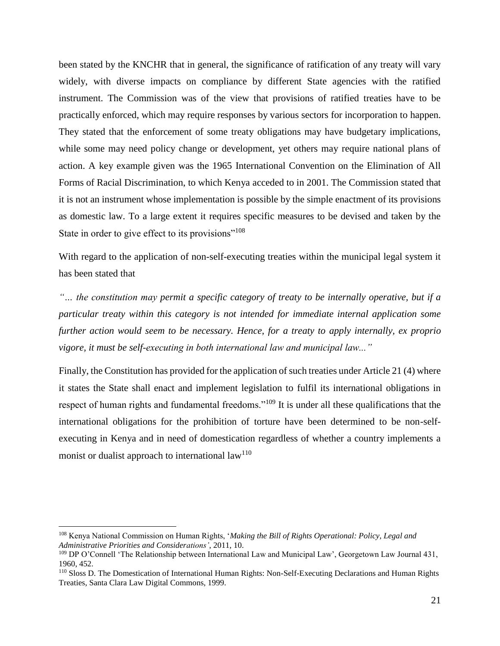been stated by the KNCHR that in general, the significance of ratification of any treaty will vary widely, with diverse impacts on compliance by different State agencies with the ratified instrument. The Commission was of the view that provisions of ratified treaties have to be practically enforced, which may require responses by various sectors for incorporation to happen. They stated that the enforcement of some treaty obligations may have budgetary implications, while some may need policy change or development, yet others may require national plans of action. A key example given was the 1965 International Convention on the Elimination of All Forms of Racial Discrimination, to which Kenya acceded to in 2001. The Commission stated that it is not an instrument whose implementation is possible by the simple enactment of its provisions as domestic law. To a large extent it requires specific measures to be devised and taken by the State in order to give effect to its provisions"<sup>108</sup>

With regard to the application of non-self-executing treaties within the municipal legal system it has been stated that

*"… the constitution may permit a specific category of treaty to be internally operative, but if a particular treaty within this category is not intended for immediate internal application some further action would seem to be necessary. Hence, for a treaty to apply internally, ex proprio vigore, it must be self-executing in both international law and municipal law..."*

Finally, the Constitution has provided for the application of such treaties under Article 21 (4) where it states the State shall enact and implement legislation to fulfil its international obligations in respect of human rights and fundamental freedoms."<sup>109</sup> It is under all these qualifications that the international obligations for the prohibition of torture have been determined to be non-selfexecuting in Kenya and in need of domestication regardless of whether a country implements a monist or dualist approach to international  $law<sup>110</sup>$ 

<sup>108</sup> Kenya National Commission on Human Rights, '*Making the Bill of Rights Operational: Policy, Legal and Administrative Priorities and Considerations'*, 2011, 10.

<sup>109</sup> DP O'Connell 'The Relationship between International Law and Municipal Law', Georgetown Law Journal 431, 1960, 452.

<sup>110</sup> Sloss D. The Domestication of International Human Rights: Non-Self-Executing Declarations and Human Rights Treaties, Santa Clara Law Digital Commons, 1999.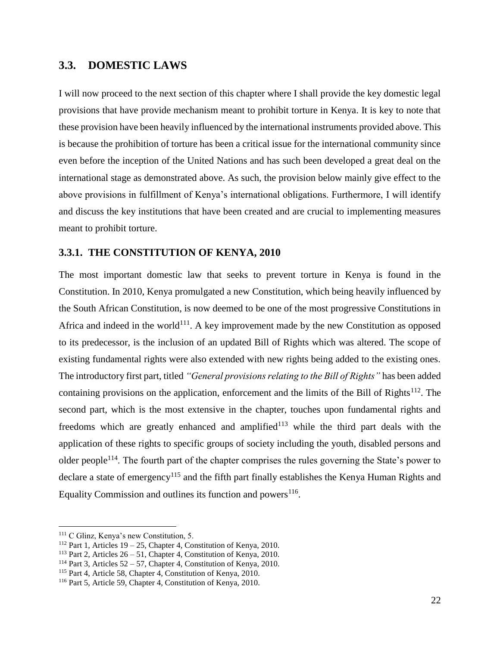### <span id="page-27-0"></span>**3.3. DOMESTIC LAWS**

I will now proceed to the next section of this chapter where I shall provide the key domestic legal provisions that have provide mechanism meant to prohibit torture in Kenya. It is key to note that these provision have been heavily influenced by the international instruments provided above. This is because the prohibition of torture has been a critical issue for the international community since even before the inception of the United Nations and has such been developed a great deal on the international stage as demonstrated above. As such, the provision below mainly give effect to the above provisions in fulfillment of Kenya's international obligations. Furthermore, I will identify and discuss the key institutions that have been created and are crucial to implementing measures meant to prohibit torture.

#### <span id="page-27-1"></span>**3.3.1. THE CONSTITUTION OF KENYA, 2010**

The most important domestic law that seeks to prevent torture in Kenya is found in the Constitution. In 2010, Kenya promulgated a new Constitution, which being heavily influenced by the South African Constitution, is now deemed to be one of the most progressive Constitutions in Africa and indeed in the world<sup>111</sup>. A key improvement made by the new Constitution as opposed to its predecessor, is the inclusion of an updated Bill of Rights which was altered. The scope of existing fundamental rights were also extended with new rights being added to the existing ones. The introductory first part, titled *"General provisions relating to the Bill of Rights"* has been added containing provisions on the application, enforcement and the limits of the Bill of Rights<sup>112</sup>. The second part, which is the most extensive in the chapter, touches upon fundamental rights and freedoms which are greatly enhanced and amplified $113$  while the third part deals with the application of these rights to specific groups of society including the youth, disabled persons and older people<sup>114</sup>. The fourth part of the chapter comprises the rules governing the State's power to declare a state of emergency<sup>115</sup> and the fifth part finally establishes the Kenya Human Rights and Equality Commission and outlines its function and powers $^{116}$ .

<sup>&</sup>lt;sup>111</sup> C Glinz, Kenya's new Constitution, 5.

<sup>&</sup>lt;sup>112</sup> Part 1, Articles 19 – 25, Chapter 4, Constitution of Kenya, 2010.

<sup>&</sup>lt;sup>113</sup> Part 2, Articles  $26 - 51$ , Chapter 4, Constitution of Kenya, 2010.

<sup>&</sup>lt;sup>114</sup> Part 3, Articles  $52 - 57$ , Chapter 4, Constitution of Kenya, 2010.

<sup>115</sup> Part 4, Article 58, Chapter 4, Constitution of Kenya, 2010.

<sup>116</sup> Part 5, Article 59, Chapter 4, Constitution of Kenya, 2010.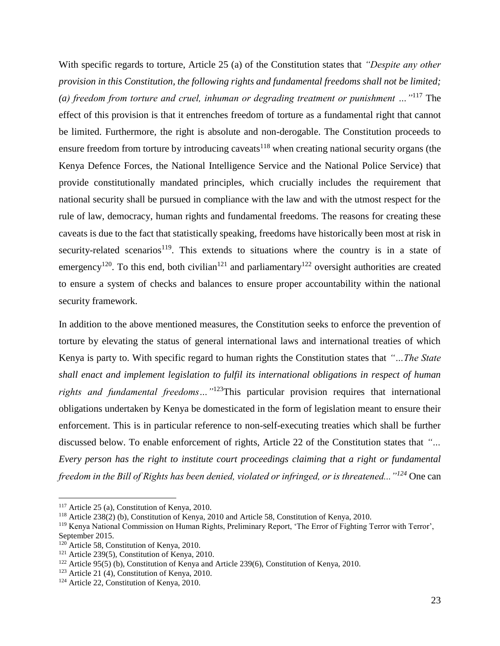With specific regards to torture, Article 25 (a) of the Constitution states that *"Despite any other provision in this Constitution, the following rights and fundamental freedoms shall not be limited; (a) freedom from torture and cruel, inhuman or degrading treatment or punishment …"*<sup>117</sup> The effect of this provision is that it entrenches freedom of torture as a fundamental right that cannot be limited. Furthermore, the right is absolute and non-derogable. The Constitution proceeds to ensure freedom from torture by introducing caveats<sup>118</sup> when creating national security organs (the Kenya Defence Forces, the National Intelligence Service and the National Police Service) that provide constitutionally mandated principles, which crucially includes the requirement that national security shall be pursued in compliance with the law and with the utmost respect for the rule of law, democracy, human rights and fundamental freedoms. The reasons for creating these caveats is due to the fact that statistically speaking, freedoms have historically been most at risk in security-related scenarios<sup>119</sup>. This extends to situations where the country is in a state of emergency<sup>120</sup>. To this end, both civilian<sup>121</sup> and parliamentary<sup>122</sup> oversight authorities are created to ensure a system of checks and balances to ensure proper accountability within the national security framework.

In addition to the above mentioned measures, the Constitution seeks to enforce the prevention of torture by elevating the status of general international laws and international treaties of which Kenya is party to. With specific regard to human rights the Constitution states that *"…The State shall enact and implement legislation to fulfil its international obligations in respect of human rights and fundamental freedoms…"*<sup>123</sup>This particular provision requires that international obligations undertaken by Kenya be domesticated in the form of legislation meant to ensure their enforcement. This is in particular reference to non-self-executing treaties which shall be further discussed below. To enable enforcement of rights, Article 22 of the Constitution states that *"… Every person has the right to institute court proceedings claiming that a right or fundamental freedom in the Bill of Rights has been denied, violated or infringed, or is threatened..."<sup>124</sup>* One can

<sup>117</sup> Article 25 (a), Constitution of Kenya, 2010.

<sup>118</sup> Article 238(2) (b), Constitution of Kenya, 2010 and Article 58, Constitution of Kenya, 2010.

<sup>119</sup> Kenya National Commission on Human Rights, Preliminary Report, 'The Error of Fighting Terror with Terror', September 2015.

<sup>120</sup> Article 58, Constitution of Kenya, 2010.

<sup>121</sup> Article 239(5), Constitution of Kenya, 2010.

<sup>&</sup>lt;sup>122</sup> Article 95(5) (b), Constitution of Kenya and Article 239(6), Constitution of Kenya, 2010.

<sup>123</sup> Article 21 (4), Constitution of Kenya, 2010.

<sup>124</sup> Article 22, Constitution of Kenya, 2010.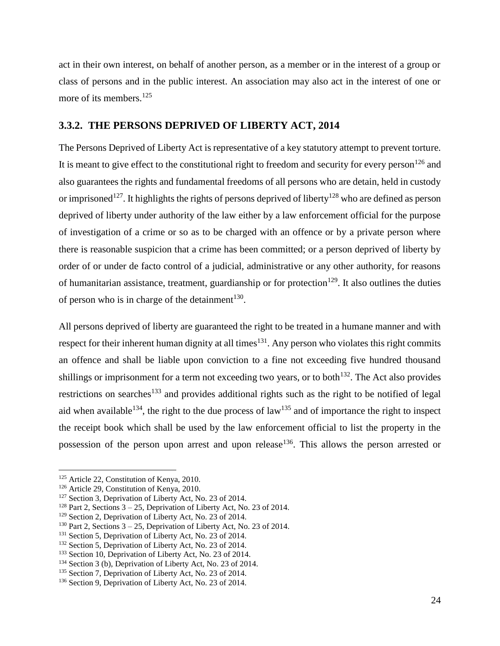act in their own interest, on behalf of another person, as a member or in the interest of a group or class of persons and in the public interest. An association may also act in the interest of one or more of its members. $125$ 

#### <span id="page-29-0"></span>**3.3.2. THE PERSONS DEPRIVED OF LIBERTY ACT, 2014**

The Persons Deprived of Liberty Act is representative of a key statutory attempt to prevent torture. It is meant to give effect to the constitutional right to freedom and security for every person<sup>126</sup> and also guarantees the rights and fundamental freedoms of all persons who are detain, held in custody or imprisoned<sup>127</sup>. It highlights the rights of persons deprived of liberty<sup>128</sup> who are defined as person deprived of liberty under authority of the law either by a law enforcement official for the purpose of investigation of a crime or so as to be charged with an offence or by a private person where there is reasonable suspicion that a crime has been committed; or a person deprived of liberty by order of or under de facto control of a judicial, administrative or any other authority, for reasons of humanitarian assistance, treatment, guardianship or for protection<sup>129</sup>. It also outlines the duties of person who is in charge of the detainment $^{130}$ .

All persons deprived of liberty are guaranteed the right to be treated in a humane manner and with respect for their inherent human dignity at all times<sup>131</sup>. Any person who violates this right commits an offence and shall be liable upon conviction to a fine not exceeding five hundred thousand shillings or imprisonment for a term not exceeding two years, or to both<sup>132</sup>. The Act also provides restrictions on searches<sup>133</sup> and provides additional rights such as the right to be notified of legal aid when available<sup>134</sup>, the right to the due process of law<sup>135</sup> and of importance the right to inspect the receipt book which shall be used by the law enforcement official to list the property in the possession of the person upon arrest and upon release<sup>136</sup>. This allows the person arrested or

<sup>125</sup> Article 22, Constitution of Kenya, 2010.

<sup>126</sup> Article 29, Constitution of Kenya, 2010.

<sup>&</sup>lt;sup>127</sup> Section 3, Deprivation of Liberty Act, No. 23 of 2014.

<sup>&</sup>lt;sup>128</sup> Part 2, Sections  $3 - 25$ , Deprivation of Liberty Act, No. 23 of 2014.

<sup>129</sup> Section 2, Deprivation of Liberty Act, No. 23 of 2014.

<sup>&</sup>lt;sup>130</sup> Part 2, Sections  $3 - 25$ , Deprivation of Liberty Act, No. 23 of 2014.

<sup>131</sup> Section 5, Deprivation of Liberty Act, No. 23 of 2014.

<sup>132</sup> Section 5, Deprivation of Liberty Act, No. 23 of 2014.

<sup>&</sup>lt;sup>133</sup> Section 10, Deprivation of Liberty Act, No. 23 of 2014.

<sup>134</sup> Section 3 (b), Deprivation of Liberty Act, No. 23 of 2014.

<sup>135</sup> Section 7, Deprivation of Liberty Act, No. 23 of 2014.

<sup>136</sup> Section 9, Deprivation of Liberty Act, No. 23 of 2014.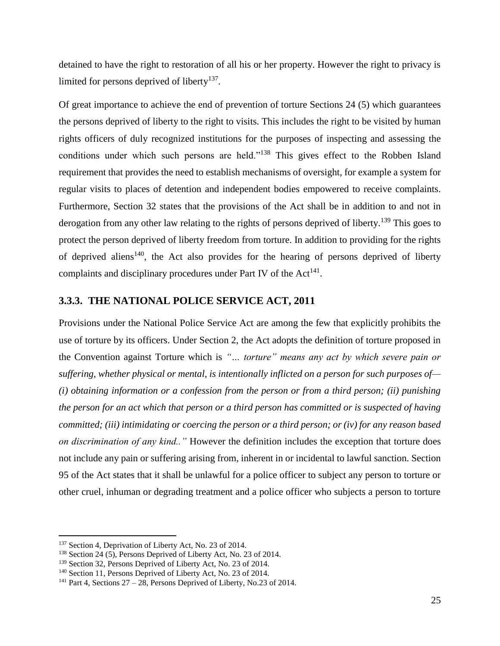detained to have the right to restoration of all his or her property. However the right to privacy is limited for persons deprived of liberty<sup>137</sup>.

Of great importance to achieve the end of prevention of torture Sections 24 (5) which guarantees the persons deprived of liberty to the right to visits. This includes the right to be visited by human rights officers of duly recognized institutions for the purposes of inspecting and assessing the conditions under which such persons are held."<sup>138</sup> This gives effect to the Robben Island requirement that provides the need to establish mechanisms of oversight, for example a system for regular visits to places of detention and independent bodies empowered to receive complaints. Furthermore, Section 32 states that the provisions of the Act shall be in addition to and not in derogation from any other law relating to the rights of persons deprived of liberty.<sup>139</sup> This goes to protect the person deprived of liberty freedom from torture. In addition to providing for the rights of deprived aliens<sup>140</sup>, the Act also provides for the hearing of persons deprived of liberty complaints and disciplinary procedures under Part IV of the Act<sup>141</sup>.

#### <span id="page-30-0"></span>**3.3.3. THE NATIONAL POLICE SERVICE ACT, 2011**

Provisions under the National Police Service Act are among the few that explicitly prohibits the use of torture by its officers. Under Section 2, the Act adopts the definition of torture proposed in the Convention against Torture which is *"… torture" means any act by which severe pain or suffering, whether physical or mental, is intentionally inflicted on a person for such purposes of— (i) obtaining information or a confession from the person or from a third person; (ii) punishing the person for an act which that person or a third person has committed or is suspected of having committed; (iii) intimidating or coercing the person or a third person; or (iv) for any reason based on discrimination of any kind.."* However the definition includes the exception that torture does not include any pain or suffering arising from, inherent in or incidental to lawful sanction. Section 95 of the Act states that it shall be unlawful for a police officer to subject any person to torture or other cruel, inhuman or degrading treatment and a police officer who subjects a person to torture

<sup>137</sup> Section 4, Deprivation of Liberty Act, No. 23 of 2014.

<sup>138</sup> Section 24 (5), Persons Deprived of Liberty Act, No. 23 of 2014.

<sup>139</sup> Section 32, Persons Deprived of Liberty Act, No. 23 of 2014.

<sup>140</sup> Section 11, Persons Deprived of Liberty Act, No. 23 of 2014.

<sup>&</sup>lt;sup>141</sup> Part 4, Sections  $27 - 28$ , Persons Deprived of Liberty, No.23 of 2014.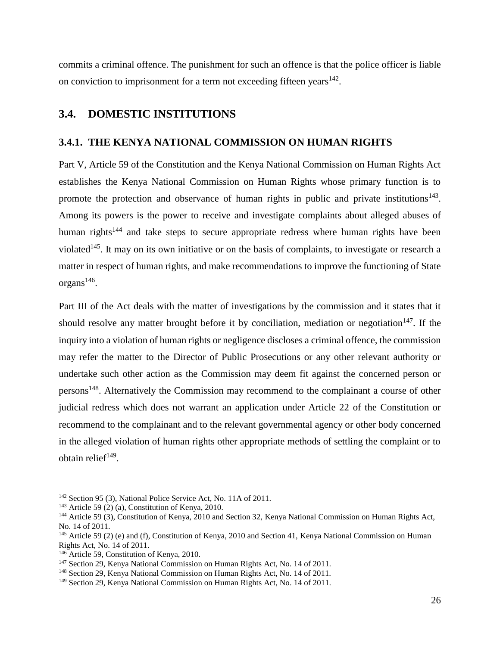commits a criminal offence. The punishment for such an offence is that the police officer is liable on conviction to imprisonment for a term not exceeding fifteen years  $142$ .

# <span id="page-31-0"></span>**3.4. DOMESTIC INSTITUTIONS**

#### <span id="page-31-1"></span>**3.4.1. THE KENYA NATIONAL COMMISSION ON HUMAN RIGHTS**

Part V, Article 59 of the Constitution and the Kenya National Commission on Human Rights Act establishes the Kenya National Commission on Human Rights whose primary function is to promote the protection and observance of human rights in public and private institutions<sup>143</sup>. Among its powers is the power to receive and investigate complaints about alleged abuses of human rights<sup>144</sup> and take steps to secure appropriate redress where human rights have been violated<sup>145</sup>. It may on its own initiative or on the basis of complaints, to investigate or research a matter in respect of human rights, and make recommendations to improve the functioning of State  $organs<sup>146</sup>$ .

Part III of the Act deals with the matter of investigations by the commission and it states that it should resolve any matter brought before it by conciliation, mediation or negotiation $147$ . If the inquiry into a violation of human rights or negligence discloses a criminal offence, the commission may refer the matter to the Director of Public Prosecutions or any other relevant authority or undertake such other action as the Commission may deem fit against the concerned person or persons<sup>148</sup>. Alternatively the Commission may recommend to the complainant a course of other judicial redress which does not warrant an application under Article 22 of the Constitution or recommend to the complainant and to the relevant governmental agency or other body concerned in the alleged violation of human rights other appropriate methods of settling the complaint or to obtain relief<sup>149</sup>.

<sup>142</sup> Section 95 (3), National Police Service Act, No. 11A of 2011.

 $143$  Article 59 (2) (a), Constitution of Kenya, 2010.

<sup>144</sup> Article 59 (3), Constitution of Kenya, 2010 and Section 32, Kenya National Commission on Human Rights Act, No. 14 of 2011.

<sup>145</sup> Article 59 (2) (e) and (f), Constitution of Kenya, 2010 and Section 41, Kenya National Commission on Human Rights Act, No. 14 of 2011.

<sup>&</sup>lt;sup>146</sup> Article 59, Constitution of Kenya, 2010.

<sup>&</sup>lt;sup>147</sup> Section 29, Kenya National Commission on Human Rights Act, No. 14 of 2011.

<sup>148</sup> Section 29, Kenya National Commission on Human Rights Act, No. 14 of 2011.

<sup>149</sup> Section 29, Kenya National Commission on Human Rights Act, No. 14 of 2011.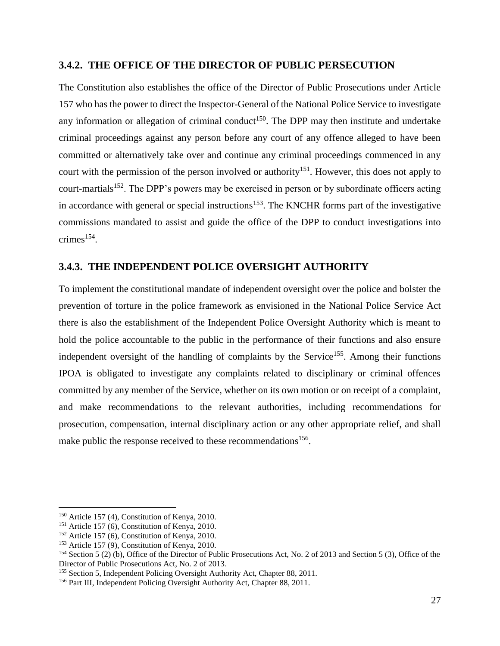#### <span id="page-32-0"></span>**3.4.2. THE OFFICE OF THE DIRECTOR OF PUBLIC PERSECUTION**

The Constitution also establishes the office of the Director of Public Prosecutions under Article 157 who has the power to direct the Inspector-General of the National Police Service to investigate any information or allegation of criminal conduct<sup>150</sup>. The DPP may then institute and undertake criminal proceedings against any person before any court of any offence alleged to have been committed or alternatively take over and continue any criminal proceedings commenced in any court with the permission of the person involved or authority<sup>151</sup>. However, this does not apply to court-martials<sup>152</sup>. The DPP's powers may be exercised in person or by subordinate officers acting in accordance with general or special instructions<sup>153</sup>. The KNCHR forms part of the investigative commissions mandated to assist and guide the office of the DPP to conduct investigations into  $crimes<sup>154</sup>$ .

#### <span id="page-32-1"></span>**3.4.3. THE INDEPENDENT POLICE OVERSIGHT AUTHORITY**

To implement the constitutional mandate of independent oversight over the police and bolster the prevention of torture in the police framework as envisioned in the National Police Service Act there is also the establishment of the Independent Police Oversight Authority which is meant to hold the police accountable to the public in the performance of their functions and also ensure independent oversight of the handling of complaints by the Service<sup>155</sup>. Among their functions IPOA is obligated to investigate any complaints related to disciplinary or criminal offences committed by any member of the Service, whether on its own motion or on receipt of a complaint, and make recommendations to the relevant authorities, including recommendations for prosecution, compensation, internal disciplinary action or any other appropriate relief, and shall make public the response received to these recommendations<sup>156</sup>.

<sup>150</sup> Article 157 (4), Constitution of Kenya, 2010.

<sup>151</sup> Article 157 (6), Constitution of Kenya, 2010.

<sup>152</sup> Article 157 (6), Constitution of Kenya, 2010.

<sup>153</sup> Article 157 (9), Constitution of Kenya, 2010.

<sup>154</sup> Section 5 (2) (b), Office of the Director of Public Prosecutions Act, No. 2 of 2013 and Section 5 (3), Office of the Director of Public Prosecutions Act, No. 2 of 2013.

<sup>&</sup>lt;sup>155</sup> Section 5, Independent Policing Oversight Authority Act, Chapter 88, 2011.

<sup>156</sup> Part III, Independent Policing Oversight Authority Act, Chapter 88, 2011.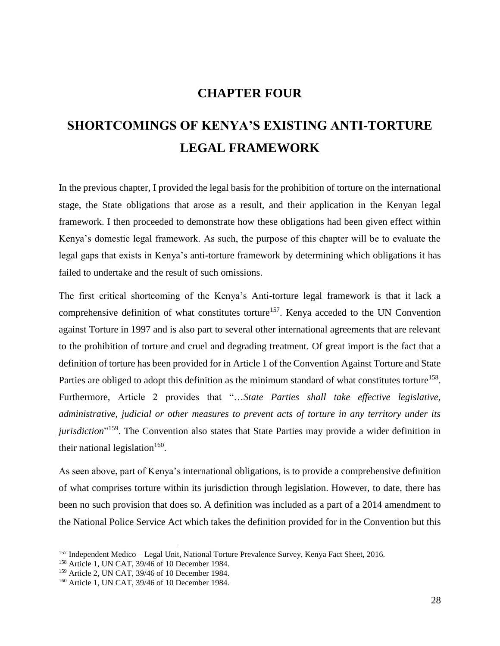# **CHAPTER FOUR**

# <span id="page-33-1"></span><span id="page-33-0"></span>**SHORTCOMINGS OF KENYA'S EXISTING ANTI-TORTURE LEGAL FRAMEWORK**

In the previous chapter, I provided the legal basis for the prohibition of torture on the international stage, the State obligations that arose as a result, and their application in the Kenyan legal framework. I then proceeded to demonstrate how these obligations had been given effect within Kenya's domestic legal framework. As such, the purpose of this chapter will be to evaluate the legal gaps that exists in Kenya's anti-torture framework by determining which obligations it has failed to undertake and the result of such omissions.

The first critical shortcoming of the Kenya's Anti-torture legal framework is that it lack a comprehensive definition of what constitutes torture<sup>157</sup>. Kenya acceded to the UN Convention against Torture in 1997 and is also part to several other international agreements that are relevant to the prohibition of torture and cruel and degrading treatment. Of great import is the fact that a definition of torture has been provided for in Article 1 of the Convention Against Torture and State Parties are obliged to adopt this definition as the minimum standard of what constitutes torture<sup>158</sup>. Furthermore, Article 2 provides that "…*State Parties shall take effective legislative, administrative, judicial or other measures to prevent acts of torture in any territory under its jurisdiction*" <sup>159</sup>. The Convention also states that State Parties may provide a wider definition in their national legislation<sup>160</sup>.

As seen above, part of Kenya's international obligations, is to provide a comprehensive definition of what comprises torture within its jurisdiction through legislation. However, to date, there has been no such provision that does so. A definition was included as a part of a 2014 amendment to the National Police Service Act which takes the definition provided for in the Convention but this

<sup>157</sup> Independent Medico – Legal Unit, National Torture Prevalence Survey, Kenya Fact Sheet, 2016.

<sup>158</sup> Article 1, UN CAT, 39/46 of 10 December 1984.

<sup>159</sup> Article 2, UN CAT, 39/46 of 10 December 1984.

<sup>160</sup> Article 1, UN CAT, 39/46 of 10 December 1984.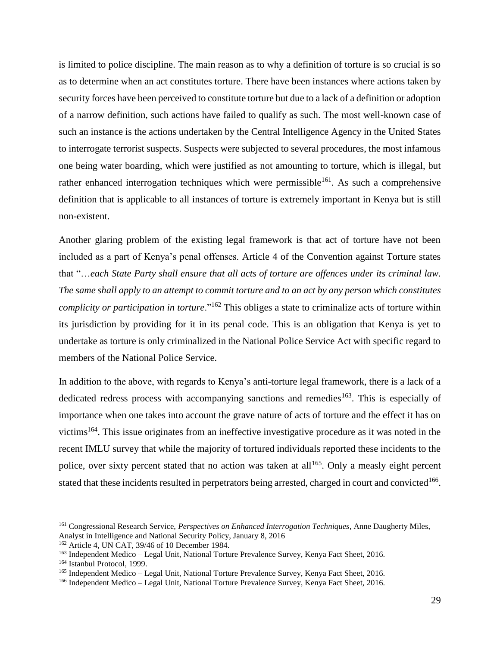is limited to police discipline. The main reason as to why a definition of torture is so crucial is so as to determine when an act constitutes torture. There have been instances where actions taken by security forces have been perceived to constitute torture but due to a lack of a definition or adoption of a narrow definition, such actions have failed to qualify as such. The most well-known case of such an instance is the actions undertaken by the Central Intelligence Agency in the United States to interrogate terrorist suspects. Suspects were subjected to several procedures, the most infamous one being water boarding, which were justified as not amounting to torture, which is illegal, but rather enhanced interrogation techniques which were permissible<sup>161</sup>. As such a comprehensive definition that is applicable to all instances of torture is extremely important in Kenya but is still non-existent.

Another glaring problem of the existing legal framework is that act of torture have not been included as a part of Kenya's penal offenses. Article 4 of the Convention against Torture states that "…*each State Party shall ensure that all acts of torture are offences under its criminal law. The same shall apply to an attempt to commit torture and to an act by any person which constitutes complicity or participation in torture*."<sup>162</sup> This obliges a state to criminalize acts of torture within its jurisdiction by providing for it in its penal code. This is an obligation that Kenya is yet to undertake as torture is only criminalized in the National Police Service Act with specific regard to members of the National Police Service.

In addition to the above, with regards to Kenya's anti-torture legal framework, there is a lack of a dedicated redress process with accompanying sanctions and remedies<sup>163</sup>. This is especially of importance when one takes into account the grave nature of acts of torture and the effect it has on victims<sup>164</sup>. This issue originates from an ineffective investigative procedure as it was noted in the recent IMLU survey that while the majority of tortured individuals reported these incidents to the police, over sixty percent stated that no action was taken at all<sup>165</sup>. Only a measly eight percent stated that these incidents resulted in perpetrators being arrested, charged in court and convicted  $166$ .

<sup>161</sup> Congressional Research Service, *Perspectives on Enhanced Interrogation Techniques*, Anne Daugherty Miles, Analyst in Intelligence and National Security Policy, January 8, 2016

<sup>162</sup> Article 4, UN CAT, 39/46 of 10 December 1984.

<sup>&</sup>lt;sup>163</sup> Independent Medico – Legal Unit, National Torture Prevalence Survey, Kenya Fact Sheet, 2016.

<sup>164</sup> Istanbul Protocol, 1999.

<sup>165</sup> Independent Medico – Legal Unit, National Torture Prevalence Survey, Kenya Fact Sheet, 2016.

<sup>166</sup> Independent Medico – Legal Unit, National Torture Prevalence Survey, Kenya Fact Sheet, 2016.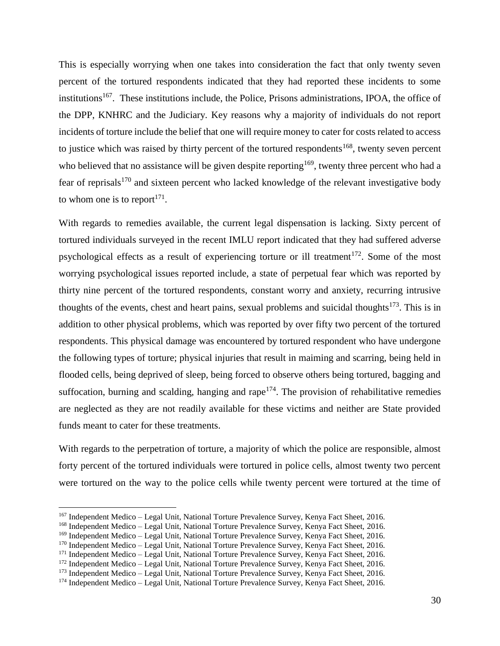This is especially worrying when one takes into consideration the fact that only twenty seven percent of the tortured respondents indicated that they had reported these incidents to some institutions<sup>167</sup>. These institutions include, the Police, Prisons administrations, IPOA, the office of the DPP, KNHRC and the Judiciary. Key reasons why a majority of individuals do not report incidents of torture include the belief that one will require money to cater for costs related to access to justice which was raised by thirty percent of the tortured respondents<sup>168</sup>, twenty seven percent who believed that no assistance will be given despite reporting<sup>169</sup>, twenty three percent who had a fear of reprisals<sup>170</sup> and sixteen percent who lacked knowledge of the relevant investigative body to whom one is to report<sup>171</sup>.

With regards to remedies available, the current legal dispensation is lacking. Sixty percent of tortured individuals surveyed in the recent IMLU report indicated that they had suffered adverse psychological effects as a result of experiencing torture or ill treatment<sup>172</sup>. Some of the most worrying psychological issues reported include, a state of perpetual fear which was reported by thirty nine percent of the tortured respondents, constant worry and anxiety, recurring intrusive thoughts of the events, chest and heart pains, sexual problems and suicidal thoughts<sup>173</sup>. This is in addition to other physical problems, which was reported by over fifty two percent of the tortured respondents. This physical damage was encountered by tortured respondent who have undergone the following types of torture; physical injuries that result in maiming and scarring, being held in flooded cells, being deprived of sleep, being forced to observe others being tortured, bagging and suffocation, burning and scalding, hanging and rape<sup>174</sup>. The provision of rehabilitative remedies are neglected as they are not readily available for these victims and neither are State provided funds meant to cater for these treatments.

With regards to the perpetration of torture, a majority of which the police are responsible, almost forty percent of the tortured individuals were tortured in police cells, almost twenty two percent were tortured on the way to the police cells while twenty percent were tortured at the time of

<sup>167</sup> Independent Medico – Legal Unit, National Torture Prevalence Survey, Kenya Fact Sheet, 2016.

<sup>168</sup> Independent Medico – Legal Unit, National Torture Prevalence Survey, Kenya Fact Sheet, 2016.

<sup>169</sup> Independent Medico – Legal Unit, National Torture Prevalence Survey, Kenya Fact Sheet, 2016.

<sup>170</sup> Independent Medico – Legal Unit, National Torture Prevalence Survey, Kenya Fact Sheet, 2016.

<sup>171</sup> Independent Medico – Legal Unit, National Torture Prevalence Survey, Kenya Fact Sheet, 2016.

<sup>172</sup> Independent Medico – Legal Unit, National Torture Prevalence Survey, Kenya Fact Sheet, 2016.

<sup>173</sup> Independent Medico – Legal Unit, National Torture Prevalence Survey, Kenya Fact Sheet, 2016.

<sup>174</sup> Independent Medico – Legal Unit, National Torture Prevalence Survey, Kenya Fact Sheet, 2016.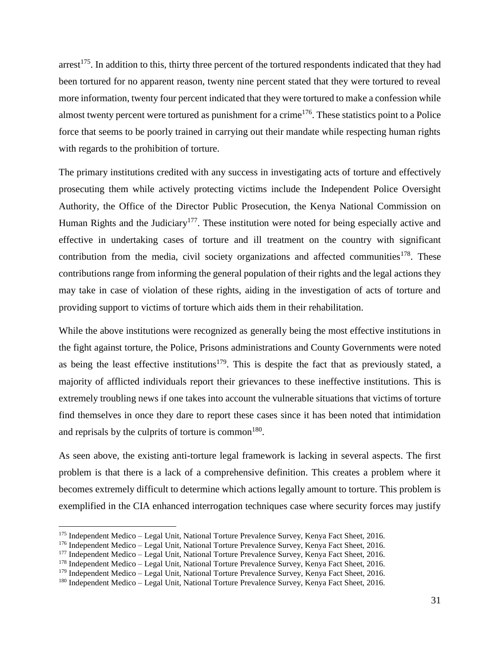arrest<sup>175</sup>. In addition to this, thirty three percent of the tortured respondents indicated that they had been tortured for no apparent reason, twenty nine percent stated that they were tortured to reveal more information, twenty four percent indicated that they were tortured to make a confession while almost twenty percent were tortured as punishment for a crime<sup>176</sup>. These statistics point to a Police force that seems to be poorly trained in carrying out their mandate while respecting human rights with regards to the prohibition of torture.

The primary institutions credited with any success in investigating acts of torture and effectively prosecuting them while actively protecting victims include the Independent Police Oversight Authority, the Office of the Director Public Prosecution, the Kenya National Commission on Human Rights and the Judiciary<sup>177</sup>. These institution were noted for being especially active and effective in undertaking cases of torture and ill treatment on the country with significant contribution from the media, civil society organizations and affected communities<sup>178</sup>. These contributions range from informing the general population of their rights and the legal actions they may take in case of violation of these rights, aiding in the investigation of acts of torture and providing support to victims of torture which aids them in their rehabilitation.

While the above institutions were recognized as generally being the most effective institutions in the fight against torture, the Police, Prisons administrations and County Governments were noted as being the least effective institutions<sup>179</sup>. This is despite the fact that as previously stated, a majority of afflicted individuals report their grievances to these ineffective institutions. This is extremely troubling news if one takes into account the vulnerable situations that victims of torture find themselves in once they dare to report these cases since it has been noted that intimidation and reprisals by the culprits of torture is common<sup>180</sup>.

As seen above, the existing anti-torture legal framework is lacking in several aspects. The first problem is that there is a lack of a comprehensive definition. This creates a problem where it becomes extremely difficult to determine which actions legally amount to torture. This problem is exemplified in the CIA enhanced interrogation techniques case where security forces may justify

<sup>175</sup> Independent Medico – Legal Unit, National Torture Prevalence Survey, Kenya Fact Sheet, 2016.

<sup>176</sup> Independent Medico – Legal Unit, National Torture Prevalence Survey, Kenya Fact Sheet, 2016.

<sup>177</sup> Independent Medico – Legal Unit, National Torture Prevalence Survey, Kenya Fact Sheet, 2016.

<sup>178</sup> Independent Medico – Legal Unit, National Torture Prevalence Survey, Kenya Fact Sheet, 2016.

<sup>179</sup> Independent Medico – Legal Unit, National Torture Prevalence Survey, Kenya Fact Sheet, 2016.

<sup>180</sup> Independent Medico – Legal Unit, National Torture Prevalence Survey, Kenya Fact Sheet, 2016.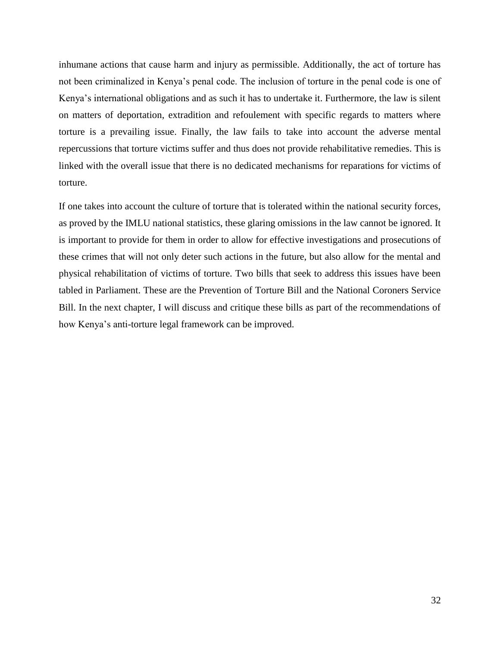inhumane actions that cause harm and injury as permissible. Additionally, the act of torture has not been criminalized in Kenya's penal code. The inclusion of torture in the penal code is one of Kenya's international obligations and as such it has to undertake it. Furthermore, the law is silent on matters of deportation, extradition and refoulement with specific regards to matters where torture is a prevailing issue. Finally, the law fails to take into account the adverse mental repercussions that torture victims suffer and thus does not provide rehabilitative remedies. This is linked with the overall issue that there is no dedicated mechanisms for reparations for victims of torture.

If one takes into account the culture of torture that is tolerated within the national security forces, as proved by the IMLU national statistics, these glaring omissions in the law cannot be ignored. It is important to provide for them in order to allow for effective investigations and prosecutions of these crimes that will not only deter such actions in the future, but also allow for the mental and physical rehabilitation of victims of torture. Two bills that seek to address this issues have been tabled in Parliament. These are the Prevention of Torture Bill and the National Coroners Service Bill. In the next chapter, I will discuss and critique these bills as part of the recommendations of how Kenya's anti-torture legal framework can be improved.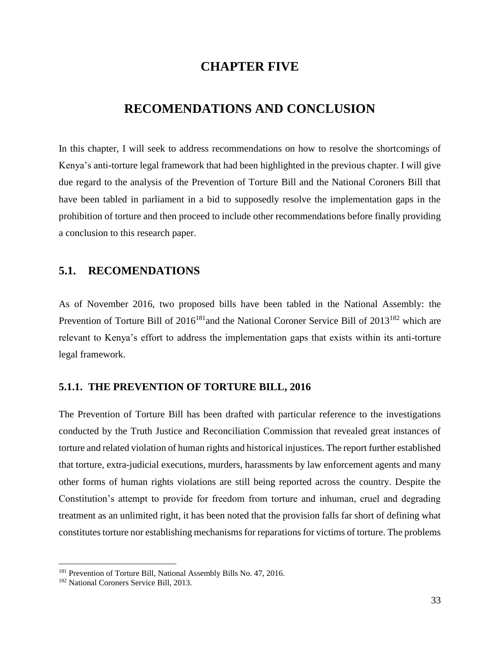# **CHAPTER FIVE**

# <span id="page-38-0"></span>**RECOMENDATIONS AND CONCLUSION**

<span id="page-38-1"></span>In this chapter, I will seek to address recommendations on how to resolve the shortcomings of Kenya's anti-torture legal framework that had been highlighted in the previous chapter. I will give due regard to the analysis of the Prevention of Torture Bill and the National Coroners Bill that have been tabled in parliament in a bid to supposedly resolve the implementation gaps in the prohibition of torture and then proceed to include other recommendations before finally providing a conclusion to this research paper.

### <span id="page-38-2"></span>**5.1. RECOMENDATIONS**

As of November 2016, two proposed bills have been tabled in the National Assembly: the Prevention of Torture Bill of 2016<sup>181</sup>and the National Coroner Service Bill of 2013<sup>182</sup> which are relevant to Kenya's effort to address the implementation gaps that exists within its anti-torture legal framework.

#### <span id="page-38-3"></span>**5.1.1. THE PREVENTION OF TORTURE BILL, 2016**

The Prevention of Torture Bill has been drafted with particular reference to the investigations conducted by the Truth Justice and Reconciliation Commission that revealed great instances of torture and related violation of human rights and historical injustices. The report further established that torture, extra-judicial executions, murders, harassments by law enforcement agents and many other forms of human rights violations are still being reported across the country. Despite the Constitution's attempt to provide for freedom from torture and inhuman, cruel and degrading treatment as an unlimited right, it has been noted that the provision falls far short of defining what constitutes torture nor establishing mechanisms for reparations for victims of torture. The problems

<sup>&</sup>lt;sup>181</sup> Prevention of Torture Bill, National Assembly Bills No. 47, 2016.

<sup>182</sup> National Coroners Service Bill, 2013.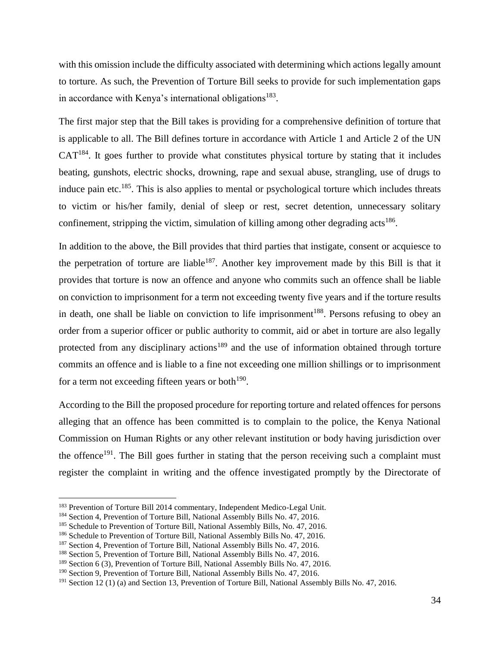with this omission include the difficulty associated with determining which actions legally amount to torture. As such, the Prevention of Torture Bill seeks to provide for such implementation gaps in accordance with Kenya's international obligations<sup>183</sup>.

The first major step that the Bill takes is providing for a comprehensive definition of torture that is applicable to all. The Bill defines torture in accordance with Article 1 and Article 2 of the UN  $CAT<sup>184</sup>$ . It goes further to provide what constitutes physical torture by stating that it includes beating, gunshots, electric shocks, drowning, rape and sexual abuse, strangling, use of drugs to induce pain etc.<sup>185</sup>. This is also applies to mental or psychological torture which includes threats to victim or his/her family, denial of sleep or rest, secret detention, unnecessary solitary confinement, stripping the victim, simulation of killing among other degrading acts<sup>186</sup>.

In addition to the above, the Bill provides that third parties that instigate, consent or acquiesce to the perpetration of torture are liable<sup>187</sup>. Another key improvement made by this Bill is that it provides that torture is now an offence and anyone who commits such an offence shall be liable on conviction to imprisonment for a term not exceeding twenty five years and if the torture results in death, one shall be liable on conviction to life imprisonment<sup>188</sup>. Persons refusing to obey an order from a superior officer or public authority to commit, aid or abet in torture are also legally protected from any disciplinary actions<sup>189</sup> and the use of information obtained through torture commits an offence and is liable to a fine not exceeding one million shillings or to imprisonment for a term not exceeding fifteen years or both $190$ .

According to the Bill the proposed procedure for reporting torture and related offences for persons alleging that an offence has been committed is to complain to the police, the Kenya National Commission on Human Rights or any other relevant institution or body having jurisdiction over the offence<sup>191</sup>. The Bill goes further in stating that the person receiving such a complaint must register the complaint in writing and the offence investigated promptly by the Directorate of

<sup>&</sup>lt;sup>183</sup> Prevention of Torture Bill 2014 commentary, Independent Medico-Legal Unit.

<sup>&</sup>lt;sup>184</sup> Section 4, Prevention of Torture Bill, National Assembly Bills No. 47, 2016.

<sup>&</sup>lt;sup>185</sup> Schedule to Prevention of Torture Bill, National Assembly Bills, No. 47, 2016.

<sup>186</sup> Schedule to Prevention of Torture Bill, National Assembly Bills No. 47, 2016.

<sup>187</sup> Section 4, Prevention of Torture Bill, National Assembly Bills No. 47, 2016.

<sup>188</sup> Section 5, Prevention of Torture Bill, National Assembly Bills No. 47, 2016.

<sup>189</sup> Section 6 (3), Prevention of Torture Bill, National Assembly Bills No. 47, 2016.

<sup>190</sup> Section 9, Prevention of Torture Bill, National Assembly Bills No. 47, 2016.

<sup>191</sup> Section 12 (1) (a) and Section 13, Prevention of Torture Bill, National Assembly Bills No. 47, 2016.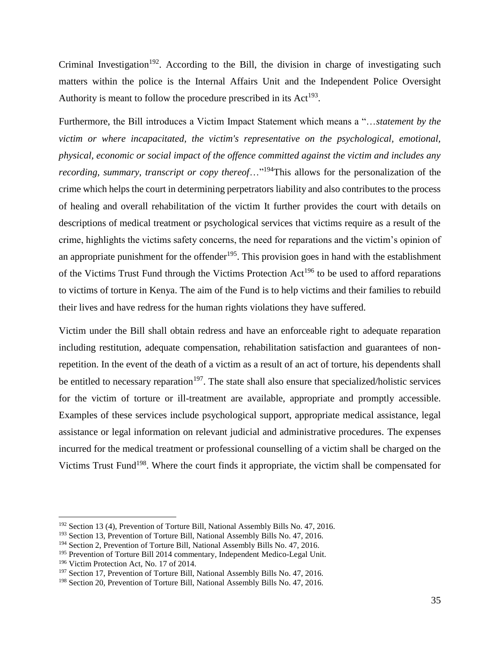Criminal Investigation<sup>192</sup>. According to the Bill, the division in charge of investigating such matters within the police is the Internal Affairs Unit and the Independent Police Oversight Authority is meant to follow the procedure prescribed in its  $Act^{193}$ .

Furthermore, the Bill introduces a Victim Impact Statement which means a "…*statement by the victim or where incapacitated, the victim's representative on the psychological, emotional, physical, economic or social impact of the offence committed against the victim and includes any recording, summary, transcript or copy thereof...*"<sup>194</sup>This allows for the personalization of the crime which helps the court in determining perpetrators liability and also contributes to the process of healing and overall rehabilitation of the victim It further provides the court with details on descriptions of medical treatment or psychological services that victims require as a result of the crime, highlights the victims safety concerns, the need for reparations and the victim's opinion of an appropriate punishment for the offender<sup>195</sup>. This provision goes in hand with the establishment of the Victims Trust Fund through the Victims Protection Act<sup>196</sup> to be used to afford reparations to victims of torture in Kenya. The aim of the Fund is to help victims and their families to rebuild their lives and have redress for the human rights violations they have suffered.

Victim under the Bill shall obtain redress and have an enforceable right to adequate reparation including restitution, adequate compensation, rehabilitation satisfaction and guarantees of nonrepetition. In the event of the death of a victim as a result of an act of torture, his dependents shall be entitled to necessary reparation<sup>197</sup>. The state shall also ensure that specialized/holistic services for the victim of torture or ill-treatment are available, appropriate and promptly accessible. Examples of these services include psychological support, appropriate medical assistance, legal assistance or legal information on relevant judicial and administrative procedures*.* The expenses incurred for the medical treatment or professional counselling of a victim shall be charged on the Victims Trust Fund<sup>198</sup>. Where the court finds it appropriate, the victim shall be compensated for

<sup>&</sup>lt;sup>192</sup> Section 13 (4), Prevention of Torture Bill, National Assembly Bills No. 47, 2016.

<sup>&</sup>lt;sup>193</sup> Section 13, Prevention of Torture Bill, National Assembly Bills No. 47, 2016.

<sup>194</sup> Section 2, Prevention of Torture Bill, National Assembly Bills No. 47, 2016.

<sup>&</sup>lt;sup>195</sup> Prevention of Torture Bill 2014 commentary, Independent Medico-Legal Unit.

<sup>196</sup> Victim Protection Act, No. 17 of 2014.

<sup>&</sup>lt;sup>197</sup> Section 17, Prevention of Torture Bill, National Assembly Bills No. 47, 2016.

<sup>198</sup> Section 20, Prevention of Torture Bill, National Assembly Bills No. 47, 2016.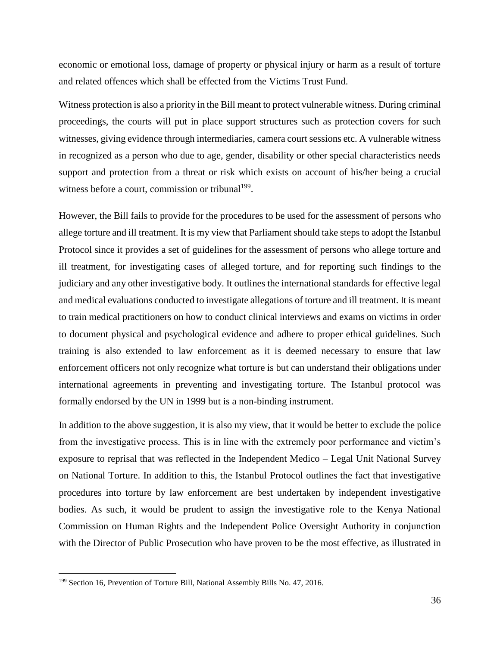economic or emotional loss, damage of property or physical injury or harm as a result of torture and related offences which shall be effected from the Victims Trust Fund.

Witness protection is also a priority in the Bill meant to protect vulnerable witness. During criminal proceedings, the courts will put in place support structures such as protection covers for such witnesses, giving evidence through intermediaries, camera court sessions etc. A vulnerable witness in recognized as a person who due to age, gender, disability or other special characteristics needs support and protection from a threat or risk which exists on account of his/her being a crucial witness before a court, commission or tribunal<sup>199</sup>.

However, the Bill fails to provide for the procedures to be used for the assessment of persons who allege torture and ill treatment. It is my view that Parliament should take steps to adopt the Istanbul Protocol since it provides a set of guidelines for the assessment of persons who allege torture and ill treatment, for investigating cases of alleged torture, and for reporting such findings to the judiciary and any other investigative body. It outlines the international standards for effective legal and medical evaluations conducted to investigate allegations of torture and ill treatment. It is meant to train medical practitioners on how to conduct clinical interviews and exams on victims in order to document physical and psychological evidence and adhere to proper ethical guidelines. Such training is also extended to law enforcement as it is deemed necessary to ensure that law enforcement officers not only recognize what torture is but can understand their obligations under international agreements in preventing and investigating torture. The Istanbul protocol was formally endorsed by the UN in 1999 but is a non-binding instrument.

In addition to the above suggestion, it is also my view, that it would be better to exclude the police from the investigative process. This is in line with the extremely poor performance and victim's exposure to reprisal that was reflected in the Independent Medico – Legal Unit National Survey on National Torture. In addition to this, the Istanbul Protocol outlines the fact that investigative procedures into torture by law enforcement are best undertaken by independent investigative bodies. As such, it would be prudent to assign the investigative role to the Kenya National Commission on Human Rights and the Independent Police Oversight Authority in conjunction with the Director of Public Prosecution who have proven to be the most effective, as illustrated in

<sup>&</sup>lt;sup>199</sup> Section 16, Prevention of Torture Bill, National Assembly Bills No. 47, 2016.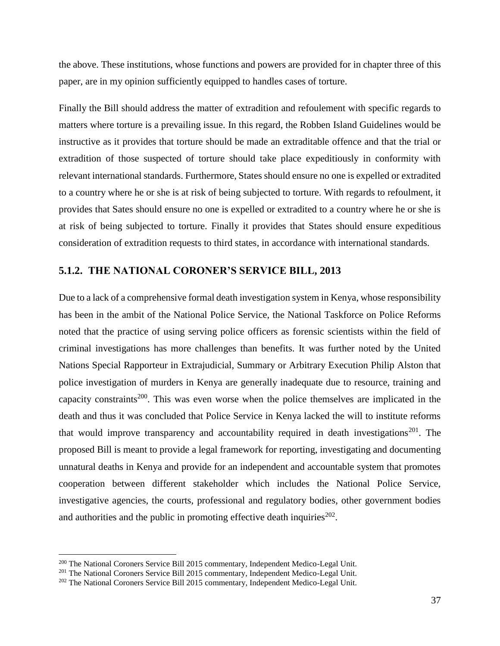the above. These institutions, whose functions and powers are provided for in chapter three of this paper, are in my opinion sufficiently equipped to handles cases of torture.

Finally the Bill should address the matter of extradition and refoulement with specific regards to matters where torture is a prevailing issue. In this regard, the Robben Island Guidelines would be instructive as it provides that torture should be made an extraditable offence and that the trial or extradition of those suspected of torture should take place expeditiously in conformity with relevant international standards. Furthermore, States should ensure no one is expelled or extradited to a country where he or she is at risk of being subjected to torture. With regards to refoulment, it provides that Sates should ensure no one is expelled or extradited to a country where he or she is at risk of being subjected to torture. Finally it provides that States should ensure expeditious consideration of extradition requests to third states, in accordance with international standards.

#### <span id="page-42-0"></span>**5.1.2. THE NATIONAL CORONER'S SERVICE BILL, 2013**

Due to a lack of a comprehensive formal death investigation system in Kenya, whose responsibility has been in the ambit of the National Police Service, the National Taskforce on Police Reforms noted that the practice of using serving police officers as forensic scientists within the field of criminal investigations has more challenges than benefits. It was further noted by the United Nations Special Rapporteur in Extrajudicial, Summary or Arbitrary Execution Philip Alston that police investigation of murders in Kenya are generally inadequate due to resource, training and capacity constraints<sup>200</sup>. This was even worse when the police themselves are implicated in the death and thus it was concluded that Police Service in Kenya lacked the will to institute reforms that would improve transparency and accountability required in death investigations<sup>201</sup>. The proposed Bill is meant to provide a legal framework for reporting, investigating and documenting unnatural deaths in Kenya and provide for an independent and accountable system that promotes cooperation between different stakeholder which includes the National Police Service, investigative agencies, the courts, professional and regulatory bodies, other government bodies and authorities and the public in promoting effective death inquiries $^{202}$ .

<sup>200</sup> The National Coroners Service Bill 2015 commentary, Independent Medico-Legal Unit.

<sup>201</sup> The National Coroners Service Bill 2015 commentary, Independent Medico-Legal Unit.

<sup>&</sup>lt;sup>202</sup> The National Coroners Service Bill 2015 commentary, Independent Medico-Legal Unit.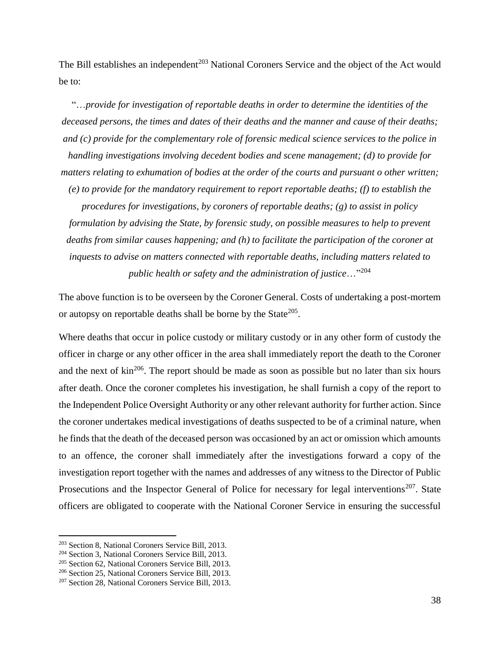The Bill establishes an independent<sup>203</sup> National Coroners Service and the object of the Act would be to:

"…*provide for investigation of reportable deaths in order to determine the identities of the deceased persons, the times and dates of their deaths and the manner and cause of their deaths; and (c) provide for the complementary role of forensic medical science services to the police in handling investigations involving decedent bodies and scene management; (d) to provide for matters relating to exhumation of bodies at the order of the courts and pursuant o other written;* 

*(e) to provide for the mandatory requirement to report reportable deaths; (f) to establish the procedures for investigations, by coroners of reportable deaths; (g) to assist in policy* 

*formulation by advising the State, by forensic study, on possible measures to help to prevent deaths from similar causes happening; and (h) to facilitate the participation of the coroner at inquests to advise on matters connected with reportable deaths, including matters related to public health or safety and the administration of justice*…"<sup>204</sup>

The above function is to be overseen by the Coroner General. Costs of undertaking a post-mortem or autopsy on reportable deaths shall be borne by the State<sup>205</sup>.

Where deaths that occur in police custody or military custody or in any other form of custody the officer in charge or any other officer in the area shall immediately report the death to the Coroner and the next of  $\sin^{206}$ . The report should be made as soon as possible but no later than six hours after death. Once the coroner completes his investigation, he shall furnish a copy of the report to the Independent Police Oversight Authority or any other relevant authority for further action. Since the coroner undertakes medical investigations of deaths suspected to be of a criminal nature, when he finds that the death of the deceased person was occasioned by an act or omission which amounts to an offence, the coroner shall immediately after the investigations forward a copy of the investigation report together with the names and addresses of any witness to the Director of Public Prosecutions and the Inspector General of Police for necessary for legal interventions<sup>207</sup>. State officers are obligated to cooperate with the National Coroner Service in ensuring the successful

<sup>203</sup> Section 8, National Coroners Service Bill, 2013.

<sup>204</sup> Section 3, National Coroners Service Bill, 2013.

<sup>205</sup> Section 62, National Coroners Service Bill, 2013.

<sup>206</sup> Section 25, National Coroners Service Bill, 2013.

<sup>207</sup> Section 28, National Coroners Service Bill, 2013.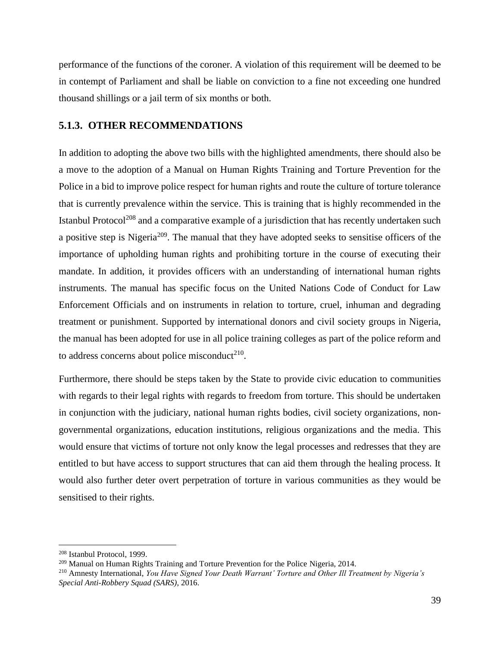performance of the functions of the coroner. A violation of this requirement will be deemed to be in contempt of Parliament and shall be liable on conviction to a fine not exceeding one hundred thousand shillings or a jail term of six months or both.

#### <span id="page-44-0"></span>**5.1.3. OTHER RECOMMENDATIONS**

In addition to adopting the above two bills with the highlighted amendments, there should also be a move to the adoption of a Manual on Human Rights Training and Torture Prevention for the Police in a bid to improve police respect for human rights and route the culture of torture tolerance that is currently prevalence within the service. This is training that is highly recommended in the Istanbul Protocol<sup>208</sup> and a comparative example of a jurisdiction that has recently undertaken such a positive step is Nigeria<sup>209</sup>. The manual that they have adopted seeks to sensitise officers of the importance of upholding human rights and prohibiting torture in the course of executing their mandate. In addition, it provides officers with an understanding of international human rights instruments. The manual has specific focus on the United Nations Code of Conduct for Law Enforcement Officials and on instruments in relation to torture, cruel, inhuman and degrading treatment or punishment. Supported by international donors and civil society groups in Nigeria, the manual has been adopted for use in all police training colleges as part of the police reform and to address concerns about police misconduct $2^{10}$ .

Furthermore, there should be steps taken by the State to provide civic education to communities with regards to their legal rights with regards to freedom from torture. This should be undertaken in conjunction with the judiciary, national human rights bodies, civil society organizations, nongovernmental organizations, education institutions, religious organizations and the media. This would ensure that victims of torture not only know the legal processes and redresses that they are entitled to but have access to support structures that can aid them through the healing process. It would also further deter overt perpetration of torture in various communities as they would be sensitised to their rights.

<sup>208</sup> Istanbul Protocol, 1999.

<sup>209</sup> Manual on Human Rights Training and Torture Prevention for the Police Nigeria, 2014.

<sup>210</sup> Amnesty International, *You Have Signed Your Death Warrant' Torture and Other Ill Treatment by Nigeria's Special Anti-Robbery Squad (SARS)*, 2016.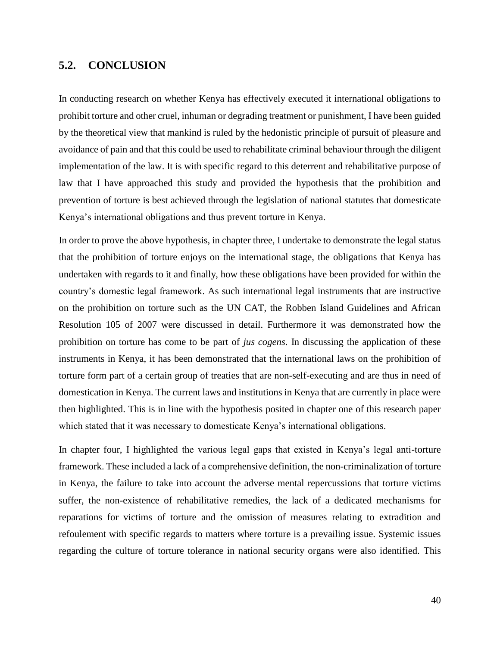### <span id="page-45-0"></span>**5.2. CONCLUSION**

In conducting research on whether Kenya has effectively executed it international obligations to prohibit torture and other cruel, inhuman or degrading treatment or punishment, I have been guided by the theoretical view that mankind is ruled by the hedonistic principle of pursuit of pleasure and avoidance of pain and that this could be used to rehabilitate criminal behaviour through the diligent implementation of the law. It is with specific regard to this deterrent and rehabilitative purpose of law that I have approached this study and provided the hypothesis that the prohibition and prevention of torture is best achieved through the legislation of national statutes that domesticate Kenya's international obligations and thus prevent torture in Kenya.

In order to prove the above hypothesis, in chapter three, I undertake to demonstrate the legal status that the prohibition of torture enjoys on the international stage, the obligations that Kenya has undertaken with regards to it and finally, how these obligations have been provided for within the country's domestic legal framework. As such international legal instruments that are instructive on the prohibition on torture such as the UN CAT, the Robben Island Guidelines and African Resolution 105 of 2007 were discussed in detail. Furthermore it was demonstrated how the prohibition on torture has come to be part of *jus cogens*. In discussing the application of these instruments in Kenya, it has been demonstrated that the international laws on the prohibition of torture form part of a certain group of treaties that are non-self-executing and are thus in need of domestication in Kenya. The current laws and institutions in Kenya that are currently in place were then highlighted. This is in line with the hypothesis posited in chapter one of this research paper which stated that it was necessary to domesticate Kenya's international obligations.

In chapter four, I highlighted the various legal gaps that existed in Kenya's legal anti-torture framework. These included a lack of a comprehensive definition, the non-criminalization of torture in Kenya, the failure to take into account the adverse mental repercussions that torture victims suffer, the non-existence of rehabilitative remedies, the lack of a dedicated mechanisms for reparations for victims of torture and the omission of measures relating to extradition and refoulement with specific regards to matters where torture is a prevailing issue. Systemic issues regarding the culture of torture tolerance in national security organs were also identified. This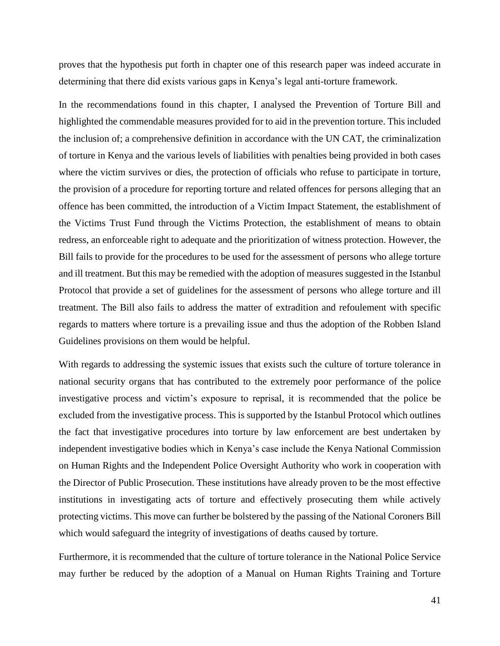proves that the hypothesis put forth in chapter one of this research paper was indeed accurate in determining that there did exists various gaps in Kenya's legal anti-torture framework.

In the recommendations found in this chapter, I analysed the Prevention of Torture Bill and highlighted the commendable measures provided for to aid in the prevention torture. This included the inclusion of; a comprehensive definition in accordance with the UN CAT, the criminalization of torture in Kenya and the various levels of liabilities with penalties being provided in both cases where the victim survives or dies, the protection of officials who refuse to participate in torture, the provision of a procedure for reporting torture and related offences for persons alleging that an offence has been committed, the introduction of a Victim Impact Statement, the establishment of the Victims Trust Fund through the Victims Protection, the establishment of means to obtain redress, an enforceable right to adequate and the prioritization of witness protection. However, the Bill fails to provide for the procedures to be used for the assessment of persons who allege torture and ill treatment. But this may be remedied with the adoption of measures suggested in the Istanbul Protocol that provide a set of guidelines for the assessment of persons who allege torture and ill treatment. The Bill also fails to address the matter of extradition and refoulement with specific regards to matters where torture is a prevailing issue and thus the adoption of the Robben Island Guidelines provisions on them would be helpful.

With regards to addressing the systemic issues that exists such the culture of torture tolerance in national security organs that has contributed to the extremely poor performance of the police investigative process and victim's exposure to reprisal, it is recommended that the police be excluded from the investigative process. This is supported by the Istanbul Protocol which outlines the fact that investigative procedures into torture by law enforcement are best undertaken by independent investigative bodies which in Kenya's case include the Kenya National Commission on Human Rights and the Independent Police Oversight Authority who work in cooperation with the Director of Public Prosecution. These institutions have already proven to be the most effective institutions in investigating acts of torture and effectively prosecuting them while actively protecting victims. This move can further be bolstered by the passing of the National Coroners Bill which would safeguard the integrity of investigations of deaths caused by torture.

Furthermore, it is recommended that the culture of torture tolerance in the National Police Service may further be reduced by the adoption of a Manual on Human Rights Training and Torture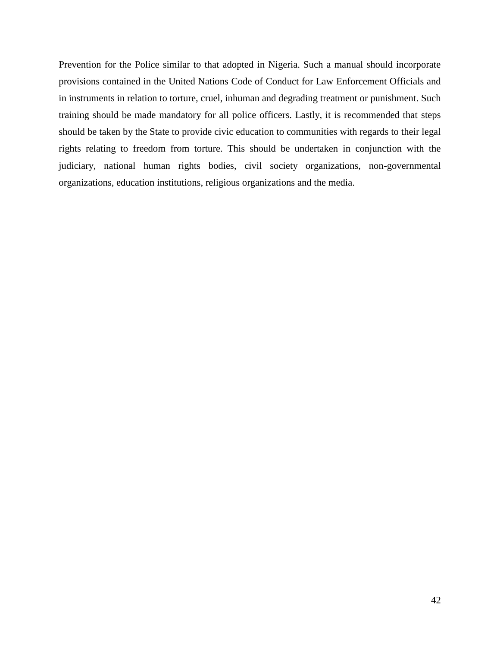Prevention for the Police similar to that adopted in Nigeria. Such a manual should incorporate provisions contained in the United Nations Code of Conduct for Law Enforcement Officials and in instruments in relation to torture, cruel, inhuman and degrading treatment or punishment. Such training should be made mandatory for all police officers. Lastly, it is recommended that steps should be taken by the State to provide civic education to communities with regards to their legal rights relating to freedom from torture. This should be undertaken in conjunction with the judiciary, national human rights bodies, civil society organizations, non-governmental organizations, education institutions, religious organizations and the media.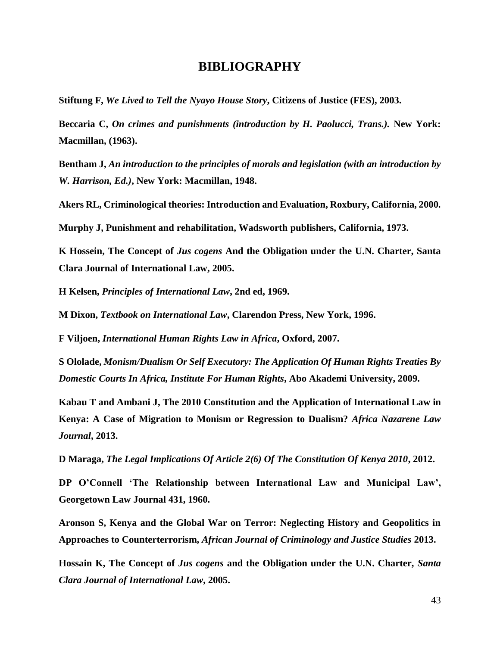# **BIBLIOGRAPHY**

<span id="page-48-0"></span>**Stiftung F,** *We Lived to Tell the Nyayo House Story***, Citizens of Justice (FES), 2003.**

**Beccaria C,** *On crimes and punishments (introduction by H. Paolucci, Trans.).* **New York: Macmillan, (1963).**

**Bentham J,** *An introduction to the principles of morals and legislation (with an introduction by W. Harrison, Ed.)***, New York: Macmillan, 1948.**

**Akers RL, Criminological theories: Introduction and Evaluation, Roxbury, California, 2000.** 

**Murphy J, Punishment and rehabilitation, Wadsworth publishers, California, 1973.**

**K Hossein, The Concept of** *Jus cogens* **And the Obligation under the U.N. Charter, Santa Clara Journal of International Law, 2005.**

**H Kelsen,** *Principles of International Law***, 2nd ed, 1969.**

**M Dixon,** *Textbook on International Law***, Clarendon Press, New York, 1996.**

**F Viljoen,** *International Human Rights Law in Africa***, Oxford, 2007.**

**S Ololade,** *Monism/Dualism Or Self Executory: The Application Of Human Rights Treaties By Domestic Courts In Africa, Institute For Human Rights***, Abo Akademi University, 2009.**

**Kabau T and Ambani J, The 2010 Constitution and the Application of International Law in Kenya: A Case of Migration to Monism or Regression to Dualism?** *Africa Nazarene Law Journal***, 2013.**

**D Maraga,** *The Legal Implications Of Article 2(6) Of The Constitution Of Kenya 2010***, 2012.**

**DP O'Connell 'The Relationship between International Law and Municipal Law', Georgetown Law Journal 431, 1960.**

**Aronson S, Kenya and the Global War on Terror: Neglecting History and Geopolitics in Approaches to Counterterrorism,** *African Journal of Criminology and Justice Studies* **2013.** 

**Hossain K, The Concept of** *Jus cogens* **and the Obligation under the U.N. Charter,** *Santa Clara Journal of International Law***, 2005.**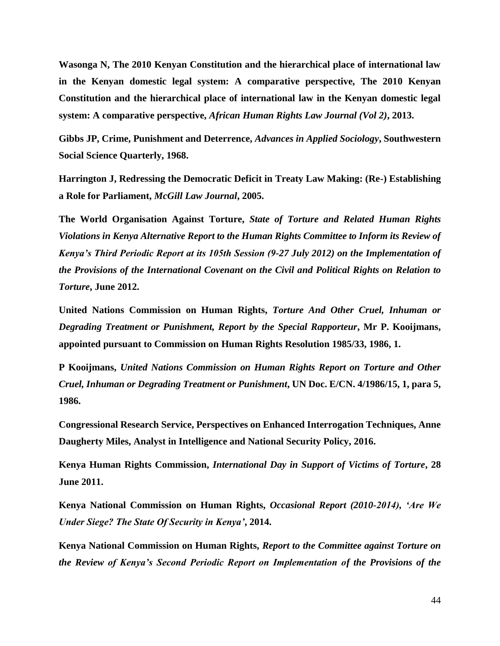**Wasonga N, The 2010 Kenyan Constitution and the hierarchical place of international law in the Kenyan domestic legal system: A comparative perspective, The 2010 Kenyan Constitution and the hierarchical place of international law in the Kenyan domestic legal system: A comparative perspective,** *African Human Rights Law Journal (Vol 2)***, 2013.** 

**Gibbs JP, Crime, Punishment and Deterrence,** *Advances in Applied Sociology***, Southwestern Social Science Quarterly, 1968.**

**Harrington J, Redressing the Democratic Deficit in Treaty Law Making: (Re-) Establishing a Role for Parliament,** *McGill Law Journal***, 2005.**

**The World Organisation Against Torture,** *State of Torture and Related Human Rights Violations in Kenya Alternative Report to the Human Rights Committee to Inform its Review of Kenya's Third Periodic Report at its 105th Session (9-27 July 2012) on the Implementation of the Provisions of the International Covenant on the Civil and Political Rights on Relation to Torture***, June 2012.** 

**United Nations Commission on Human Rights,** *Torture And Other Cruel, Inhuman or Degrading Treatment or Punishment, Report by the Special Rapporteur***, Mr P. Kooijmans, appointed pursuant to Commission on Human Rights Resolution 1985/33, 1986, 1.** 

**P Kooijmans,** *United Nations Commission on Human Rights Report on Torture and Other Cruel, Inhuman or Degrading Treatment or Punishment***, UN Doc. E/CN. 4/1986/15, 1, para 5, 1986.**

**Congressional Research Service, Perspectives on Enhanced Interrogation Techniques, Anne Daugherty Miles, Analyst in Intelligence and National Security Policy, 2016.**

**Kenya Human Rights Commission,** *International Day in Support of Victims of Torture***, 28 June 2011.**

**Kenya National Commission on Human Rights,** *Occasional Report (2010-2014), 'Are We Under Siege? The State Of Security in Kenya'***, 2014.**

**Kenya National Commission on Human Rights,** *Report to the Committee against Torture on the Review of Kenya's Second Periodic Report on Implementation of the Provisions of the*